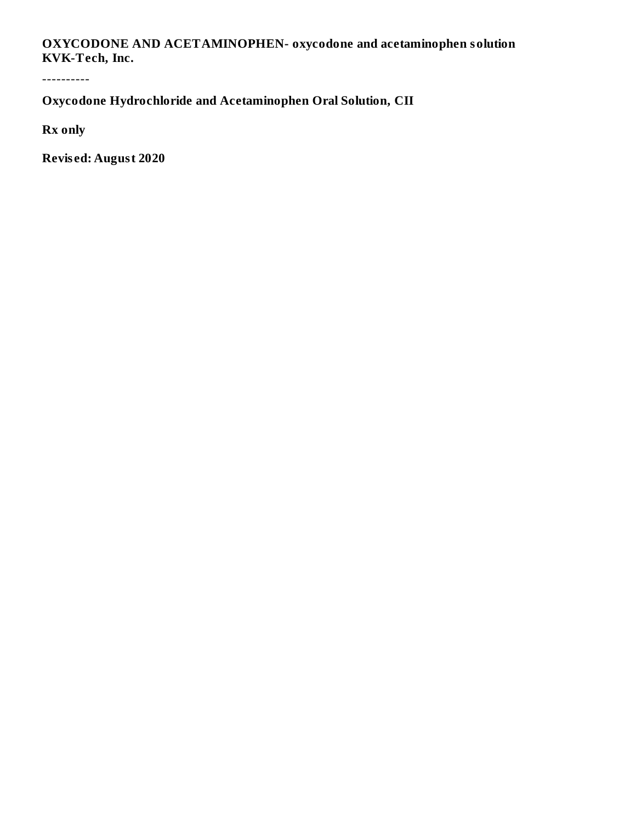#### **OXYCODONE AND ACETAMINOPHEN- oxycodone and acetaminophen solution KVK-Tech, Inc.**

----------

**Oxycodone Hydrochloride and Acetaminophen Oral Solution, CII**

**Rx only**

**Revis ed: August 2020**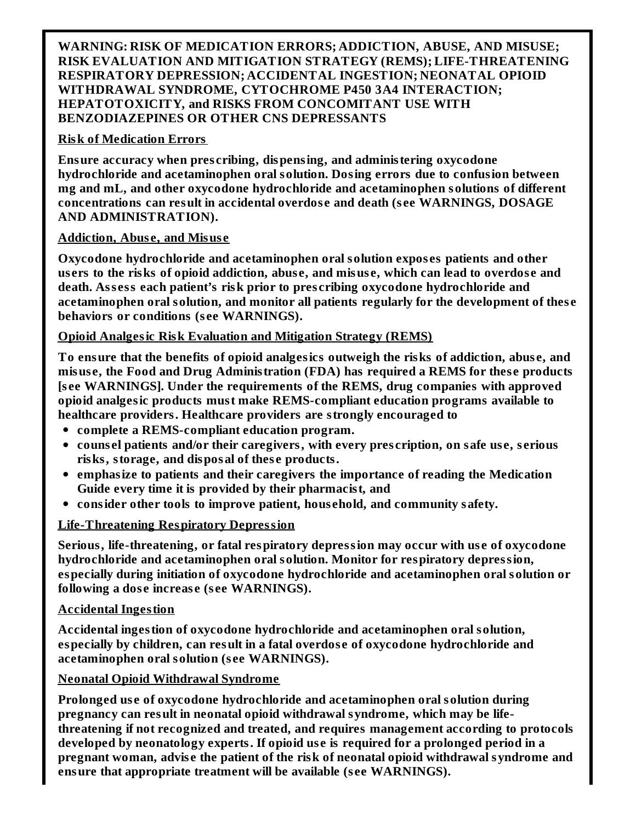**WARNING: RISK OF MEDICATION ERRORS; ADDICTION, ABUSE, AND MISUSE; RISK EVALUATION AND MITIGATION STRATEGY (REMS); LIFE-THREATENING RESPIRATORY DEPRESSION; ACCIDENTAL INGESTION; NEONATAL OPIOID WITHDRAWAL SYNDROME, CYTOCHROME P450 3A4 INTERACTION; HEPATOTOXICITY, and RISKS FROM CONCOMITANT USE WITH BENZODIAZEPINES OR OTHER CNS DEPRESSANTS**

#### **Risk of Medication Errors**

**Ensure accuracy when pres cribing, dispensing, and administering oxycodone hydrochloride and acetaminophen oral solution. Dosing errors due to confusion between mg and mL, and other oxycodone hydrochloride and acetaminophen solutions of different concentrations can result in accidental overdos e and death (s ee WARNINGS, DOSAGE AND ADMINISTRATION).**

#### **Addiction, Abus e, and Misus e**

**Oxycodone hydrochloride and acetaminophen oral solution expos es patients and other** users to the risks of opioid addiction, abuse, and misuse, which can lead to overdose and **death. Ass ess each patient's risk prior to pres cribing oxycodone hydrochloride and acetaminophen oral solution, and monitor all patients regularly for the development of thes e behaviors or conditions (s ee WARNINGS).**

#### **Opioid Analgesic Risk Evaluation and Mitigation Strategy (REMS)**

**To ensure that the benefits of opioid analgesics outweigh the risks of addiction, abus e, and misus e, the Food and Drug Administration (FDA) has required a REMS for thes e products [s ee WARNINGS]. Under the requirements of the REMS, drug companies with approved opioid analgesic products must make REMS-compliant education programs available to healthcare providers. Healthcare providers are strongly encouraged to**

- **complete a REMS-compliant education program.**
- **couns el patients and/or their caregivers, with every pres cription, on safe us e, s erious risks, storage, and disposal of thes e products.**
- **emphasize to patients and their caregivers the importance of reading the Medication Guide every time it is provided by their pharmacist, and**
- **consider other tools to improve patient, hous ehold, and community safety.**

#### **Life-Threatening Respiratory Depression**

**Serious, life-threatening, or fatal respiratory depression may occur with us e of oxycodone hydrochloride and acetaminophen oral solution. Monitor for respiratory depression, especially during initiation of oxycodone hydrochloride and acetaminophen oral solution or following a dos e increas e (s ee WARNINGS).**

#### **Accidental Ingestion**

**Accidental ingestion of oxycodone hydrochloride and acetaminophen oral solution, especially by children, can result in a fatal overdos e of oxycodone hydrochloride and acetaminophen oral solution (s ee WARNINGS).**

#### **Neonatal Opioid Withdrawal Syndrome**

**Prolonged us e of oxycodone hydrochloride and acetaminophen oral solution during pregnancy can result in neonatal opioid withdrawal syndrome, which may be lifethreatening if not recognized and treated, and requires management according to protocols developed by neonatology experts. If opioid us e is required for a prolonged period in a pregnant woman, advis e the patient of the risk of neonatal opioid withdrawal syndrome and ensure that appropriate treatment will be available (s ee WARNINGS).**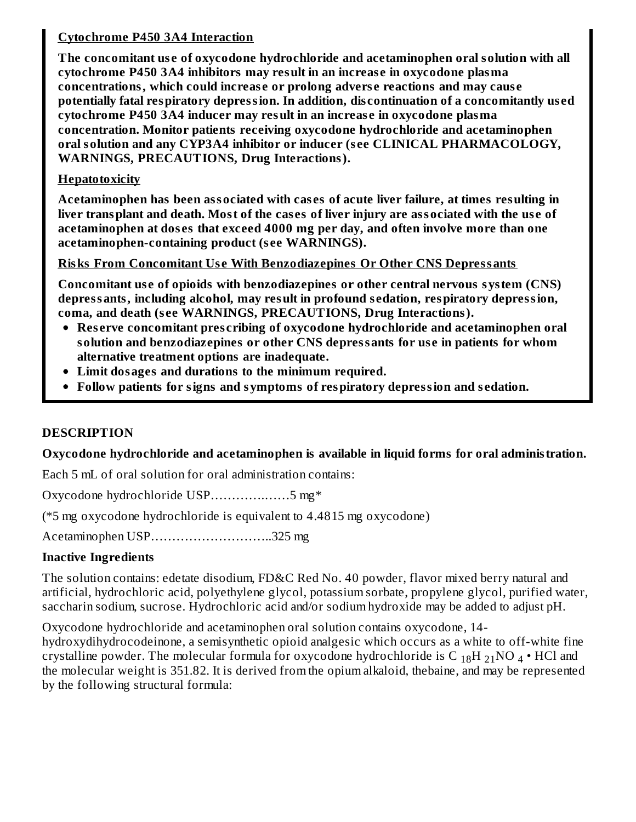#### **Cytochrome P450 3A4 Interaction**

**The concomitant us e of oxycodone hydrochloride and acetaminophen oral solution with all cytochrome P450 3A4 inhibitors may result in an increas e in oxycodone plasma concentrations, which could increas e or prolong advers e reactions and may caus e potentially fatal respiratory depression. In addition, dis continuation of a concomitantly us ed cytochrome P450 3A4 inducer may result in an increas e in oxycodone plasma concentration. Monitor patients receiving oxycodone hydrochloride and acetaminophen oral solution and any CYP3A4 inhibitor or inducer (s ee CLINICAL PHARMACOLOGY, WARNINGS, PRECAUTIONS, Drug Interactions).**

#### **Hepatotoxicity**

**Acetaminophen has been associated with cas es of acute liver failure, at times resulting in** liver transplant and death. Most of the cases of liver injury are associated with the use of **acetaminophen at dos es that exceed 4000 mg per day, and often involve more than one acetaminophen-containing product (s ee WARNINGS).**

**Risks From Concomitant Us e With Benzodiazepines Or Other CNS Depressants**

**Concomitant us e of opioids with benzodiazepines or other central nervous system (CNS) depressants, including alcohol, may result in profound s edation, respiratory depression, coma, and death (s ee WARNINGS, PRECAUTIONS, Drug Interactions).**

- **Res erve concomitant pres cribing of oxycodone hydrochloride and acetaminophen oral solution and benzodiazepines or other CNS depressants for us e in patients for whom alternative treatment options are inadequate.**
- **Limit dosages and durations to the minimum required.**
- **Follow patients for signs and symptoms of respiratory depression and s edation.**

### **DESCRIPTION**

### **Oxycodone hydrochloride and acetaminophen is available in liquid forms for oral administration.**

Each 5 mL of oral solution for oral administration contains:

Oxycodone hydrochloride USP………….……5 mg\*

(\*5 mg oxycodone hydrochloride is equivalent to 4.4815 mg oxycodone)

Acetaminophen USP………………………..325 mg

### **Inactive Ingredients**

The solution contains: edetate disodium, FD&C Red No. 40 powder, flavor mixed berry natural and artificial, hydrochloric acid, polyethylene glycol, potassium sorbate, propylene glycol, purified water, saccharin sodium, sucrose. Hydrochloric acid and/or sodium hydroxide may be added to adjust pH.

Oxycodone hydrochloride and acetaminophen oral solution contains oxycodone, 14 hydroxydihydrocodeinone, a semisynthetic opioid analgesic which occurs as a white to off-white fine crystalline powder. The molecular formula for oxycodone hydrochloride is C  $_{18}$ H  $_{21}$ NO  $_4$   $\cdot$  HCl and the molecular weight is 351.82. It is derived from the opium alkaloid, thebaine, and may be represented by the following structural formula: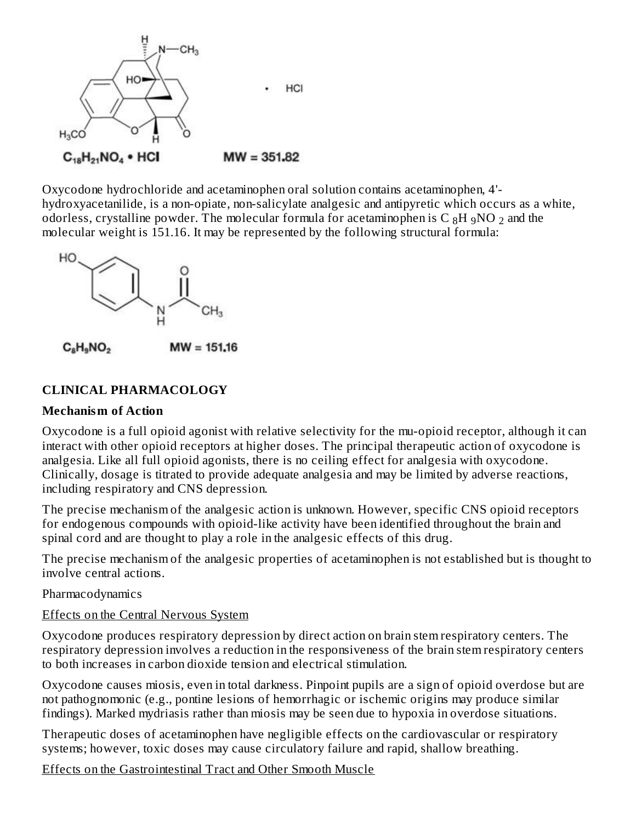

Oxycodone hydrochloride and acetaminophen oral solution contains acetaminophen, 4' hydroxyacetanilide, is a non-opiate, non-salicylate analgesic and antipyretic which occurs as a white, odorless, crystalline powder. The molecular formula for acetaminophen is C  $_8\mathrm{H}$  <sub>9</sub>NO  $_2$  and the molecular weight is 151.16. It may be represented by the following structural formula:



#### **CLINICAL PHARMACOLOGY**

#### **Mechanism of Action**

Oxycodone is a full opioid agonist with relative selectivity for the mu-opioid receptor, although it can interact with other opioid receptors at higher doses. The principal therapeutic action of oxycodone is analgesia. Like all full opioid agonists, there is no ceiling effect for analgesia with oxycodone. Clinically, dosage is titrated to provide adequate analgesia and may be limited by adverse reactions, including respiratory and CNS depression.

The precise mechanism of the analgesic action is unknown. However, specific CNS opioid receptors for endogenous compounds with opioid-like activity have been identified throughout the brain and spinal cord and are thought to play a role in the analgesic effects of this drug.

The precise mechanism of the analgesic properties of acetaminophen is not established but is thought to involve central actions.

#### Pharmacodynamics

#### Effects on the Central Nervous System

Oxycodone produces respiratory depression by direct action on brain stem respiratory centers. The respiratory depression involves a reduction in the responsiveness of the brain stem respiratory centers to both increases in carbon dioxide tension and electrical stimulation.

Oxycodone causes miosis, even in total darkness. Pinpoint pupils are a sign of opioid overdose but are not pathognomonic (e.g., pontine lesions of hemorrhagic or ischemic origins may produce similar findings). Marked mydriasis rather than miosis may be seen due to hypoxia in overdose situations.

Therapeutic doses of acetaminophen have negligible effects on the cardiovascular or respiratory systems; however, toxic doses may cause circulatory failure and rapid, shallow breathing.

Effects on the Gastrointestinal Tract and Other Smooth Muscle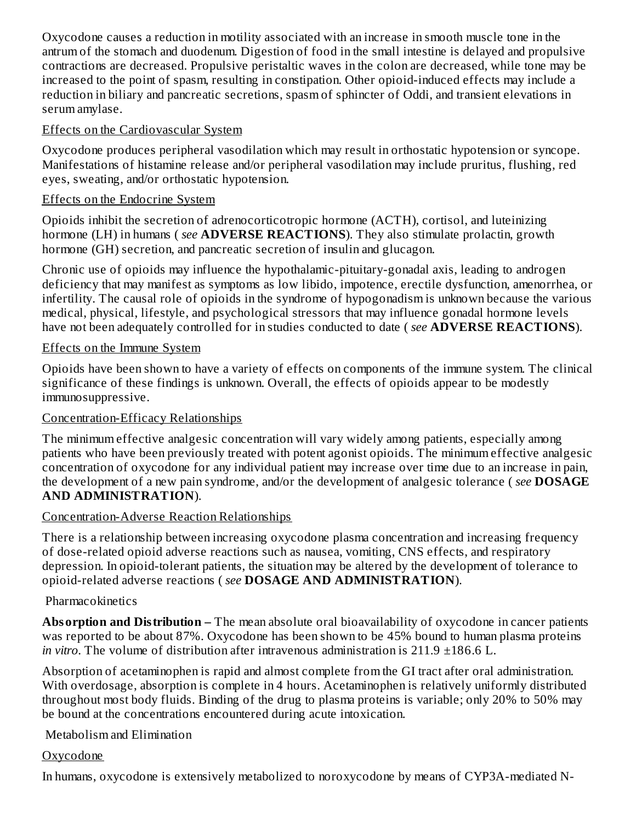Oxycodone causes a reduction in motility associated with an increase in smooth muscle tone in the antrum of the stomach and duodenum. Digestion of food in the small intestine is delayed and propulsive contractions are decreased. Propulsive peristaltic waves in the colon are decreased, while tone may be increased to the point of spasm, resulting in constipation. Other opioid-induced effects may include a reduction in biliary and pancreatic secretions, spasm of sphincter of Oddi, and transient elevations in serum amylase.

### Effects on the Cardiovascular System

Oxycodone produces peripheral vasodilation which may result in orthostatic hypotension or syncope. Manifestations of histamine release and/or peripheral vasodilation may include pruritus, flushing, red eyes, sweating, and/or orthostatic hypotension.

### Effects on the Endocrine System

Opioids inhibit the secretion of adrenocorticotropic hormone (ACTH), cortisol, and luteinizing hormone (LH) in humans ( *see* **ADVERSE REACTIONS**). They also stimulate prolactin, growth hormone (GH) secretion, and pancreatic secretion of insulin and glucagon.

Chronic use of opioids may influence the hypothalamic-pituitary-gonadal axis, leading to androgen deficiency that may manifest as symptoms as low libido, impotence, erectile dysfunction, amenorrhea, or infertility. The causal role of opioids in the syndrome of hypogonadism is unknown because the various medical, physical, lifestyle, and psychological stressors that may influence gonadal hormone levels have not been adequately controlled for in studies conducted to date ( *see* **ADVERSE REACTIONS**).

### Effects on the Immune System

Opioids have been shown to have a variety of effects on components of the immune system. The clinical significance of these findings is unknown. Overall, the effects of opioids appear to be modestly immunosuppressive.

#### Concentration-Efficacy Relationships

The minimum effective analgesic concentration will vary widely among patients, especially among patients who have been previously treated with potent agonist opioids. The minimum effective analgesic concentration of oxycodone for any individual patient may increase over time due to an increase in pain, the development of a new pain syndrome, and/or the development of analgesic tolerance ( *see* **DOSAGE AND ADMINISTRATION**).

### Concentration-Adverse Reaction Relationships

There is a relationship between increasing oxycodone plasma concentration and increasing frequency of dose-related opioid adverse reactions such as nausea, vomiting, CNS effects, and respiratory depression. In opioid-tolerant patients, the situation may be altered by the development of tolerance to opioid-related adverse reactions ( *see* **DOSAGE AND ADMINISTRATION**).

### Pharmacokinetics

**Absorption and Distribution –** The mean absolute oral bioavailability of oxycodone in cancer patients was reported to be about 87%. Oxycodone has been shown to be 45% bound to human plasma proteins *in vitro*. The volume of distribution after intravenous administration is 211.9 ±186.6 L.

Absorption of acetaminophen is rapid and almost complete from the GI tract after oral administration. With overdosage, absorption is complete in 4 hours. Acetaminophen is relatively uniformly distributed throughout most body fluids. Binding of the drug to plasma proteins is variable; only 20% to 50% may be bound at the concentrations encountered during acute intoxication.

### Metabolism and Elimination

### Oxycodone

In humans, oxycodone is extensively metabolized to noroxycodone by means of CYP3A-mediated N-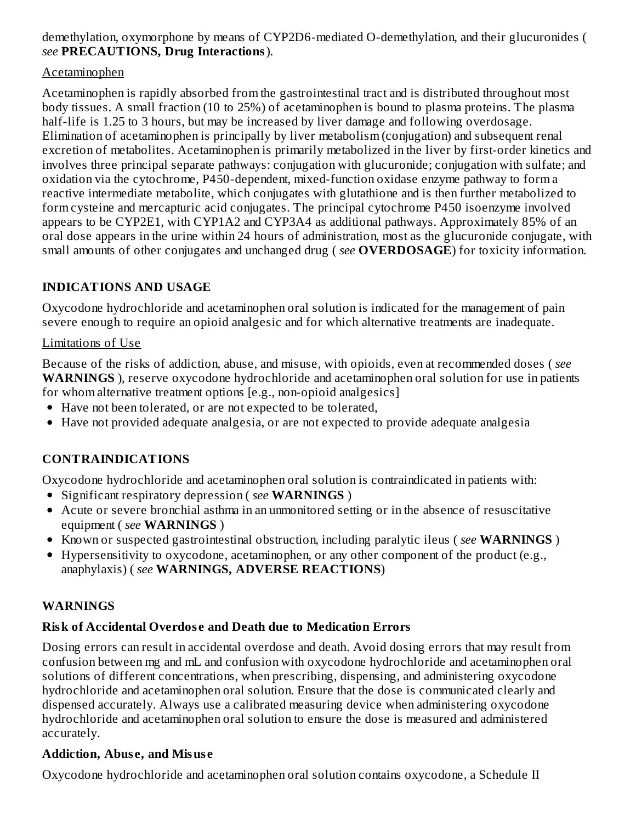### demethylation, oxymorphone by means of CYP2D6-mediated O-demethylation, and their glucuronides ( *see* **PRECAUTIONS, Drug Interactions**).

#### Acetaminophen

Acetaminophen is rapidly absorbed from the gastrointestinal tract and is distributed throughout most body tissues. A small fraction (10 to 25%) of acetaminophen is bound to plasma proteins. The plasma half-life is 1.25 to 3 hours, but may be increased by liver damage and following overdosage. Elimination of acetaminophen is principally by liver metabolism (conjugation) and subsequent renal excretion of metabolites. Acetaminophen is primarily metabolized in the liver by first-order kinetics and involves three principal separate pathways: conjugation with glucuronide; conjugation with sulfate; and oxidation via the cytochrome, P450-dependent, mixed-function oxidase enzyme pathway to form a reactive intermediate metabolite, which conjugates with glutathione and is then further metabolized to form cysteine and mercapturic acid conjugates. The principal cytochrome P450 isoenzyme involved appears to be CYP2E1, with CYP1A2 and CYP3A4 as additional pathways. Approximately 85% of an oral dose appears in the urine within 24 hours of administration, most as the glucuronide conjugate, with small amounts of other conjugates and unchanged drug ( *see* **OVERDOSAGE**) for toxicity information.

### **INDICATIONS AND USAGE**

Oxycodone hydrochloride and acetaminophen oral solution is indicated for the management of pain severe enough to require an opioid analgesic and for which alternative treatments are inadequate.

#### Limitations of Use

Because of the risks of addiction, abuse, and misuse, with opioids, even at recommended doses ( *see* **WARNINGS** ), reserve oxycodone hydrochloride and acetaminophen oral solution for use in patients for whom alternative treatment options [e.g., non-opioid analgesics]

- Have not been tolerated, or are not expected to be tolerated,
- Have not provided adequate analgesia, or are not expected to provide adequate analgesia

## **CONTRAINDICATIONS**

Oxycodone hydrochloride and acetaminophen oral solution is contraindicated in patients with:

- Significant respiratory depression ( *see* **WARNINGS** )
- Acute or severe bronchial asthma in an unmonitored setting or in the absence of resuscitative equipment ( *see* **WARNINGS** )
- Known or suspected gastrointestinal obstruction, including paralytic ileus ( *see* **WARNINGS** )
- Hypersensitivity to oxycodone, acetaminophen, or any other component of the product (e.g., anaphylaxis) ( *see* **WARNINGS, ADVERSE REACTIONS**)

### **WARNINGS**

### **Risk of Accidental Overdos e and Death due to Medication Errors**

Dosing errors can result in accidental overdose and death. Avoid dosing errors that may result from confusion between mg and mL and confusion with oxycodone hydrochloride and acetaminophen oral solutions of different concentrations, when prescribing, dispensing, and administering oxycodone hydrochloride and acetaminophen oral solution. Ensure that the dose is communicated clearly and dispensed accurately. Always use a calibrated measuring device when administering oxycodone hydrochloride and acetaminophen oral solution to ensure the dose is measured and administered accurately.

### **Addiction, Abus e, and Misus e**

Oxycodone hydrochloride and acetaminophen oral solution contains oxycodone, a Schedule II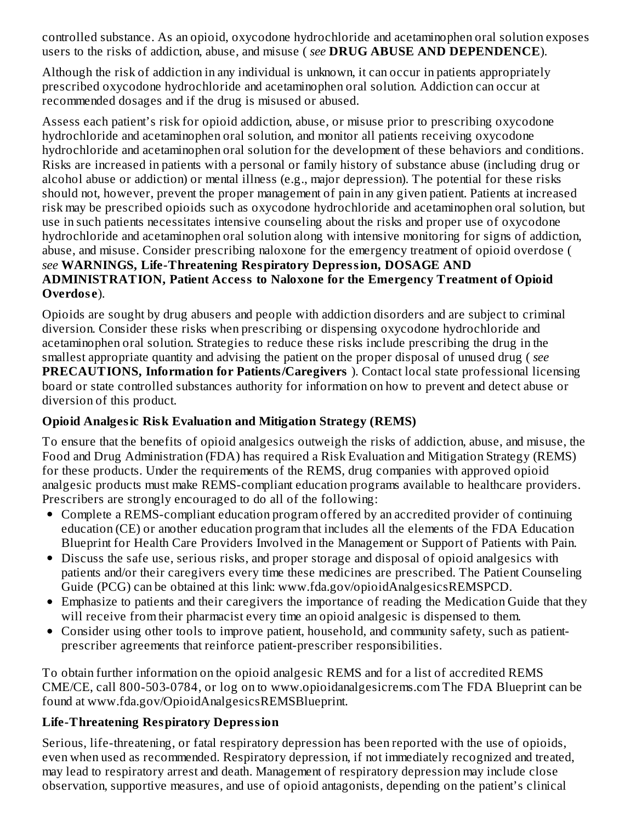controlled substance. As an opioid, oxycodone hydrochloride and acetaminophen oral solution exposes users to the risks of addiction, abuse, and misuse ( *see* **DRUG ABUSE AND DEPENDENCE**).

Although the risk of addiction in any individual is unknown, it can occur in patients appropriately prescribed oxycodone hydrochloride and acetaminophen oral solution. Addiction can occur at recommended dosages and if the drug is misused or abused.

Assess each patient's risk for opioid addiction, abuse, or misuse prior to prescribing oxycodone hydrochloride and acetaminophen oral solution, and monitor all patients receiving oxycodone hydrochloride and acetaminophen oral solution for the development of these behaviors and conditions. Risks are increased in patients with a personal or family history of substance abuse (including drug or alcohol abuse or addiction) or mental illness (e.g., major depression). The potential for these risks should not, however, prevent the proper management of pain in any given patient. Patients at increased risk may be prescribed opioids such as oxycodone hydrochloride and acetaminophen oral solution, but use in such patients necessitates intensive counseling about the risks and proper use of oxycodone hydrochloride and acetaminophen oral solution along with intensive monitoring for signs of addiction, abuse, and misuse. Consider prescribing naloxone for the emergency treatment of opioid overdose ( *see* **WARNINGS, Life-Threatening Respiratory Depression, DOSAGE AND ADMINISTRATION, Patient Access to Naloxone for the Emergency Treatment of Opioid Overdos e**).

Opioids are sought by drug abusers and people with addiction disorders and are subject to criminal diversion. Consider these risks when prescribing or dispensing oxycodone hydrochloride and acetaminophen oral solution. Strategies to reduce these risks include prescribing the drug in the smallest appropriate quantity and advising the patient on the proper disposal of unused drug ( *see* **PRECAUTIONS, Information for Patients/Caregivers** ). Contact local state professional licensing board or state controlled substances authority for information on how to prevent and detect abuse or diversion of this product.

### **Opioid Analgesic Risk Evaluation and Mitigation Strategy (REMS)**

To ensure that the benefits of opioid analgesics outweigh the risks of addiction, abuse, and misuse, the Food and Drug Administration (FDA) has required a Risk Evaluation and Mitigation Strategy (REMS) for these products. Under the requirements of the REMS, drug companies with approved opioid analgesic products must make REMS-compliant education programs available to healthcare providers. Prescribers are strongly encouraged to do all of the following:

- Complete a REMS-compliant education program offered by an accredited provider of continuing education (CE) or another education program that includes all the elements of the FDA Education Blueprint for Health Care Providers Involved in the Management or Support of Patients with Pain.
- Discuss the safe use, serious risks, and proper storage and disposal of opioid analgesics with patients and/or their caregivers every time these medicines are prescribed. The Patient Counseling Guide (PCG) can be obtained at this link: www.fda.gov/opioidAnalgesicsREMSPCD.
- Emphasize to patients and their caregivers the importance of reading the Medication Guide that they will receive from their pharmacist every time an opioid analgesic is dispensed to them.
- Consider using other tools to improve patient, household, and community safety, such as patientprescriber agreements that reinforce patient-prescriber responsibilities.

To obtain further information on the opioid analgesic REMS and for a list of accredited REMS CME/CE, call 800-503-0784, or log on to www.opioidanalgesicrems.com The FDA Blueprint can be found at www.fda.gov/OpioidAnalgesicsREMSBlueprint.

## **Life-Threatening Respiratory Depression**

Serious, life-threatening, or fatal respiratory depression has been reported with the use of opioids, even when used as recommended. Respiratory depression, if not immediately recognized and treated, may lead to respiratory arrest and death. Management of respiratory depression may include close observation, supportive measures, and use of opioid antagonists, depending on the patient's clinical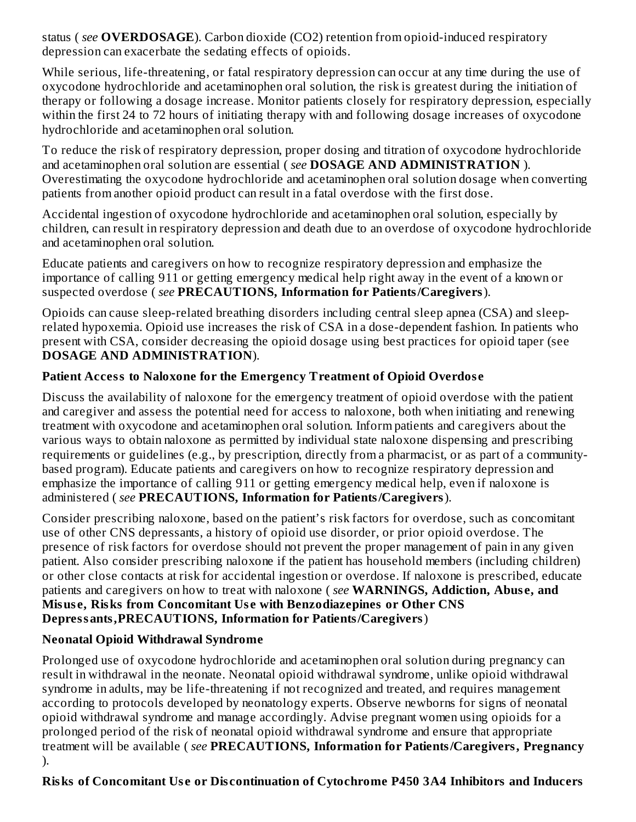status ( *see* **OVERDOSAGE**). Carbon dioxide (CO2) retention from opioid-induced respiratory depression can exacerbate the sedating effects of opioids.

While serious, life-threatening, or fatal respiratory depression can occur at any time during the use of oxycodone hydrochloride and acetaminophen oral solution, the risk is greatest during the initiation of therapy or following a dosage increase. Monitor patients closely for respiratory depression, especially within the first 24 to 72 hours of initiating therapy with and following dosage increases of oxycodone hydrochloride and acetaminophen oral solution.

To reduce the risk of respiratory depression, proper dosing and titration of oxycodone hydrochloride and acetaminophen oral solution are essential ( *see* **DOSAGE AND ADMINISTRATION** ). Overestimating the oxycodone hydrochloride and acetaminophen oral solution dosage when converting patients from another opioid product can result in a fatal overdose with the first dose.

Accidental ingestion of oxycodone hydrochloride and acetaminophen oral solution, especially by children, can result in respiratory depression and death due to an overdose of oxycodone hydrochloride and acetaminophen oral solution.

Educate patients and caregivers on how to recognize respiratory depression and emphasize the importance of calling 911 or getting emergency medical help right away in the event of a known or suspected overdose ( *see* **PRECAUTIONS, Information for Patients/Caregivers**).

Opioids can cause sleep-related breathing disorders including central sleep apnea (CSA) and sleeprelated hypoxemia. Opioid use increases the risk of CSA in a dose-dependent fashion. In patients who present with CSA, consider decreasing the opioid dosage using best practices for opioid taper (see **DOSAGE AND ADMINISTRATION**).

## **Patient Access to Naloxone for the Emergency Treatment of Opioid Overdos e**

Discuss the availability of naloxone for the emergency treatment of opioid overdose with the patient and caregiver and assess the potential need for access to naloxone, both when initiating and renewing treatment with oxycodone and acetaminophen oral solution. Inform patients and caregivers about the various ways to obtain naloxone as permitted by individual state naloxone dispensing and prescribing requirements or guidelines (e.g., by prescription, directly from a pharmacist, or as part of a communitybased program). Educate patients and caregivers on how to recognize respiratory depression and emphasize the importance of calling 911 or getting emergency medical help, even if naloxone is administered ( *see* **PRECAUTIONS, Information for Patients/Caregivers**).

Consider prescribing naloxone, based on the patient's risk factors for overdose, such as concomitant use of other CNS depressants, a history of opioid use disorder, or prior opioid overdose. The presence of risk factors for overdose should not prevent the proper management of pain in any given patient. Also consider prescribing naloxone if the patient has household members (including children) or other close contacts at risk for accidental ingestion or overdose. If naloxone is prescribed, educate patients and caregivers on how to treat with naloxone ( *see* **WARNINGS, Addiction, Abus e, and Misus e, Risks from Concomitant Us e with Benzodiazepines or Other CNS Depressants,PRECAUTIONS, Information for Patients/Caregivers**)

### **Neonatal Opioid Withdrawal Syndrome**

Prolonged use of oxycodone hydrochloride and acetaminophen oral solution during pregnancy can result in withdrawal in the neonate. Neonatal opioid withdrawal syndrome, unlike opioid withdrawal syndrome in adults, may be life-threatening if not recognized and treated, and requires management according to protocols developed by neonatology experts. Observe newborns for signs of neonatal opioid withdrawal syndrome and manage accordingly. Advise pregnant women using opioids for a prolonged period of the risk of neonatal opioid withdrawal syndrome and ensure that appropriate treatment will be available ( *see* **PRECAUTIONS, Information for Patients/Caregivers, Pregnancy** ).

**Risks of Concomitant Us e or Dis continuation of Cytochrome P450 3A4 Inhibitors and Inducers**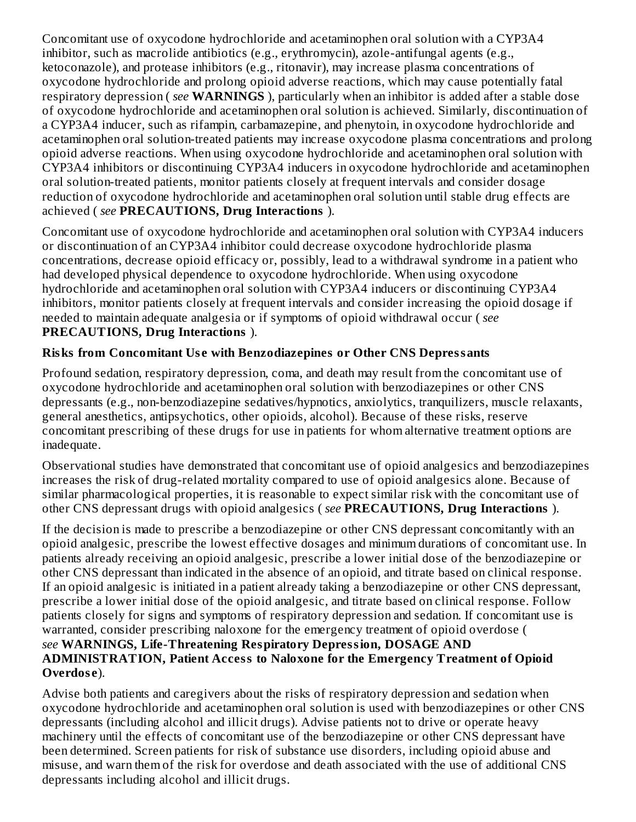Concomitant use of oxycodone hydrochloride and acetaminophen oral solution with a CYP3A4 inhibitor, such as macrolide antibiotics (e.g., erythromycin), azole-antifungal agents (e.g., ketoconazole), and protease inhibitors (e.g., ritonavir), may increase plasma concentrations of oxycodone hydrochloride and prolong opioid adverse reactions, which may cause potentially fatal respiratory depression ( *see* **WARNINGS** ), particularly when an inhibitor is added after a stable dose of oxycodone hydrochloride and acetaminophen oral solution is achieved. Similarly, discontinuation of a CYP3A4 inducer, such as rifampin, carbamazepine, and phenytoin, in oxycodone hydrochloride and acetaminophen oral solution-treated patients may increase oxycodone plasma concentrations and prolong opioid adverse reactions. When using oxycodone hydrochloride and acetaminophen oral solution with CYP3A4 inhibitors or discontinuing CYP3A4 inducers in oxycodone hydrochloride and acetaminophen oral solution-treated patients, monitor patients closely at frequent intervals and consider dosage reduction of oxycodone hydrochloride and acetaminophen oral solution until stable drug effects are achieved ( *see* **PRECAUTIONS, Drug Interactions** ).

Concomitant use of oxycodone hydrochloride and acetaminophen oral solution with CYP3A4 inducers or discontinuation of an CYP3A4 inhibitor could decrease oxycodone hydrochloride plasma concentrations, decrease opioid efficacy or, possibly, lead to a withdrawal syndrome in a patient who had developed physical dependence to oxycodone hydrochloride. When using oxycodone hydrochloride and acetaminophen oral solution with CYP3A4 inducers or discontinuing CYP3A4 inhibitors, monitor patients closely at frequent intervals and consider increasing the opioid dosage if needed to maintain adequate analgesia or if symptoms of opioid withdrawal occur ( *see* **PRECAUTIONS, Drug Interactions** ).

### **Risks from Concomitant Us e with Benzodiazepines or Other CNS Depressants**

Profound sedation, respiratory depression, coma, and death may result from the concomitant use of oxycodone hydrochloride and acetaminophen oral solution with benzodiazepines or other CNS depressants (e.g., non-benzodiazepine sedatives/hypnotics, anxiolytics, tranquilizers, muscle relaxants, general anesthetics, antipsychotics, other opioids, alcohol). Because of these risks, reserve concomitant prescribing of these drugs for use in patients for whom alternative treatment options are inadequate.

Observational studies have demonstrated that concomitant use of opioid analgesics and benzodiazepines increases the risk of drug-related mortality compared to use of opioid analgesics alone. Because of similar pharmacological properties, it is reasonable to expect similar risk with the concomitant use of other CNS depressant drugs with opioid analgesics ( *see* **PRECAUTIONS, Drug Interactions** ).

If the decision is made to prescribe a benzodiazepine or other CNS depressant concomitantly with an opioid analgesic, prescribe the lowest effective dosages and minimum durations of concomitant use. In patients already receiving an opioid analgesic, prescribe a lower initial dose of the benzodiazepine or other CNS depressant than indicated in the absence of an opioid, and titrate based on clinical response. If an opioid analgesic is initiated in a patient already taking a benzodiazepine or other CNS depressant, prescribe a lower initial dose of the opioid analgesic, and titrate based on clinical response. Follow patients closely for signs and symptoms of respiratory depression and sedation. If concomitant use is warranted, consider prescribing naloxone for the emergency treatment of opioid overdose ( *see* **WARNINGS, Life-Threatening Respiratory Depression, DOSAGE AND ADMINISTRATION, Patient Access to Naloxone for the Emergency Treatment of Opioid Overdos e**).

Advise both patients and caregivers about the risks of respiratory depression and sedation when oxycodone hydrochloride and acetaminophen oral solution is used with benzodiazepines or other CNS depressants (including alcohol and illicit drugs). Advise patients not to drive or operate heavy machinery until the effects of concomitant use of the benzodiazepine or other CNS depressant have been determined. Screen patients for risk of substance use disorders, including opioid abuse and misuse, and warn them of the risk for overdose and death associated with the use of additional CNS depressants including alcohol and illicit drugs.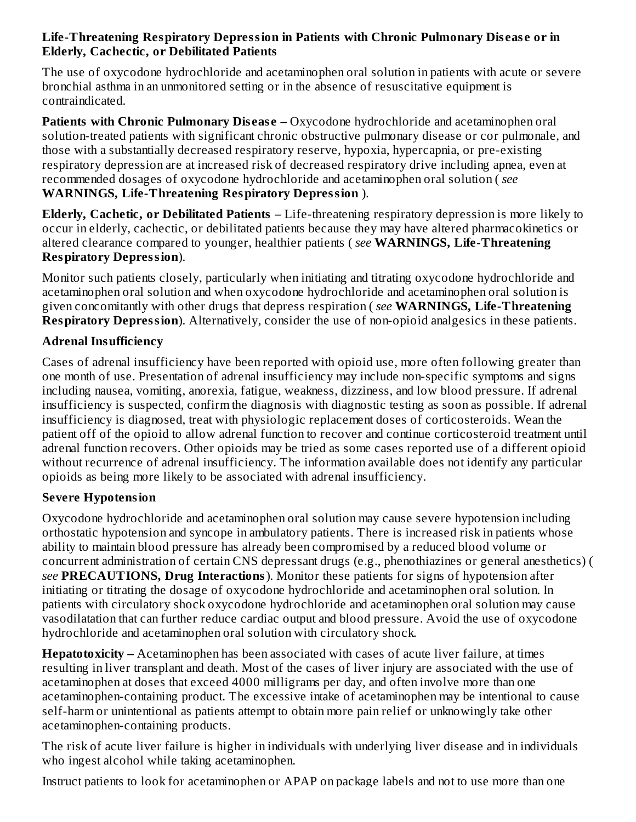#### **Life-Threatening Respiratory Depression in Patients with Chronic Pulmonary Dis eas e or in Elderly, Cachectic, or Debilitated Patients**

The use of oxycodone hydrochloride and acetaminophen oral solution in patients with acute or severe bronchial asthma in an unmonitored setting or in the absence of resuscitative equipment is contraindicated.

**Patients with Chronic Pulmonary Dis eas e –** Oxycodone hydrochloride and acetaminophen oral solution-treated patients with significant chronic obstructive pulmonary disease or cor pulmonale, and those with a substantially decreased respiratory reserve, hypoxia, hypercapnia, or pre-existing respiratory depression are at increased risk of decreased respiratory drive including apnea, even at recommended dosages of oxycodone hydrochloride and acetaminophen oral solution ( *see* **WARNINGS, Life-Threatening Respiratory Depression** ).

**Elderly, Cachetic, or Debilitated Patients –** Life-threatening respiratory depression is more likely to occur in elderly, cachectic, or debilitated patients because they may have altered pharmacokinetics or altered clearance compared to younger, healthier patients ( *see* **WARNINGS, Life-Threatening Respiratory Depression**).

Monitor such patients closely, particularly when initiating and titrating oxycodone hydrochloride and acetaminophen oral solution and when oxycodone hydrochloride and acetaminophen oral solution is given concomitantly with other drugs that depress respiration ( *see* **WARNINGS, Life-Threatening Respiratory Depression**). Alternatively, consider the use of non-opioid analgesics in these patients.

## **Adrenal Insufficiency**

Cases of adrenal insufficiency have been reported with opioid use, more often following greater than one month of use. Presentation of adrenal insufficiency may include non-specific symptoms and signs including nausea, vomiting, anorexia, fatigue, weakness, dizziness, and low blood pressure. If adrenal insufficiency is suspected, confirm the diagnosis with diagnostic testing as soon as possible. If adrenal insufficiency is diagnosed, treat with physiologic replacement doses of corticosteroids. Wean the patient off of the opioid to allow adrenal function to recover and continue corticosteroid treatment until adrenal function recovers. Other opioids may be tried as some cases reported use of a different opioid without recurrence of adrenal insufficiency. The information available does not identify any particular opioids as being more likely to be associated with adrenal insufficiency.

## **Severe Hypotension**

Oxycodone hydrochloride and acetaminophen oral solution may cause severe hypotension including orthostatic hypotension and syncope in ambulatory patients. There is increased risk in patients whose ability to maintain blood pressure has already been compromised by a reduced blood volume or concurrent administration of certain CNS depressant drugs (e.g., phenothiazines or general anesthetics) ( *see* **PRECAUTIONS, Drug Interactions**). Monitor these patients for signs of hypotension after initiating or titrating the dosage of oxycodone hydrochloride and acetaminophen oral solution. In patients with circulatory shock oxycodone hydrochloride and acetaminophen oral solution may cause vasodilatation that can further reduce cardiac output and blood pressure. Avoid the use of oxycodone hydrochloride and acetaminophen oral solution with circulatory shock.

**Hepatotoxicity –** Acetaminophen has been associated with cases of acute liver failure, at times resulting in liver transplant and death. Most of the cases of liver injury are associated with the use of acetaminophen at doses that exceed 4000 milligrams per day, and often involve more than one acetaminophen-containing product. The excessive intake of acetaminophen may be intentional to cause self-harm or unintentional as patients attempt to obtain more pain relief or unknowingly take other acetaminophen-containing products.

The risk of acute liver failure is higher in individuals with underlying liver disease and in individuals who ingest alcohol while taking acetaminophen.

Instruct patients to look for acetaminophen or APAP on package labels and not to use more than one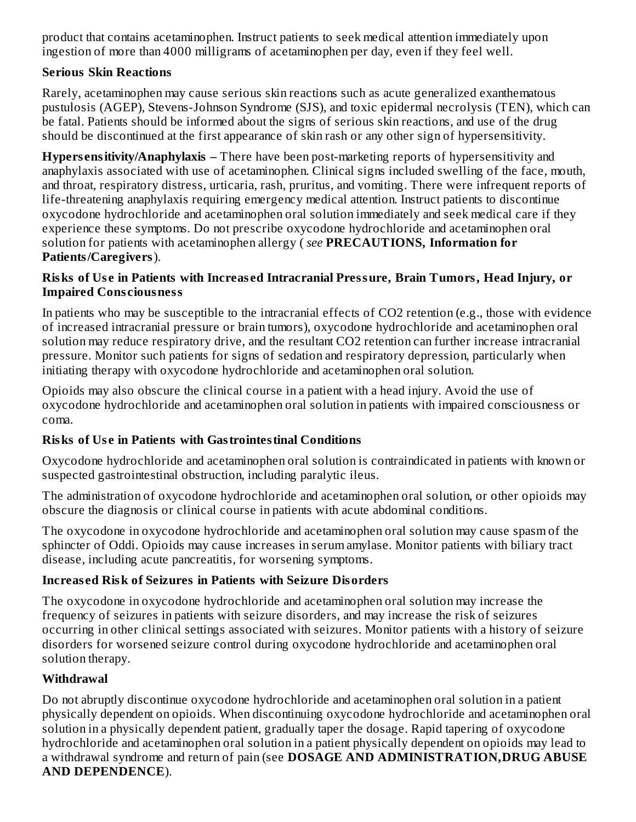product that contains acetaminophen. Instruct patients to seek medical attention immediately upon ingestion of more than 4000 milligrams of acetaminophen per day, even if they feel well.

#### **Serious Skin Reactions**

Rarely, acetaminophen may cause serious skin reactions such as acute generalized exanthematous pustulosis (AGEP), Stevens-Johnson Syndrome (SJS), and toxic epidermal necrolysis (TEN), which can be fatal. Patients should be informed about the signs of serious skin reactions, and use of the drug should be discontinued at the first appearance of skin rash or any other sign of hypersensitivity.

**Hypers ensitivity/Anaphylaxis –** There have been post-marketing reports of hypersensitivity and anaphylaxis associated with use of acetaminophen. Clinical signs included swelling of the face, mouth, and throat, respiratory distress, urticaria, rash, pruritus, and vomiting. There were infrequent reports of life-threatening anaphylaxis requiring emergency medical attention. Instruct patients to discontinue oxycodone hydrochloride and acetaminophen oral solution immediately and seek medical care if they experience these symptoms. Do not prescribe oxycodone hydrochloride and acetaminophen oral solution for patients with acetaminophen allergy ( *see* **PRECAUTIONS, Information for Patients/Caregivers**).

#### **Risks of Us e in Patients with Increas ed Intracranial Pressure, Brain Tumors, Head Injury, or Impaired Cons ciousness**

In patients who may be susceptible to the intracranial effects of CO2 retention (e.g., those with evidence of increased intracranial pressure or brain tumors), oxycodone hydrochloride and acetaminophen oral solution may reduce respiratory drive, and the resultant CO2 retention can further increase intracranial pressure. Monitor such patients for signs of sedation and respiratory depression, particularly when initiating therapy with oxycodone hydrochloride and acetaminophen oral solution.

Opioids may also obscure the clinical course in a patient with a head injury. Avoid the use of oxycodone hydrochloride and acetaminophen oral solution in patients with impaired consciousness or coma.

### **Risks of Us e in Patients with Gastrointestinal Conditions**

Oxycodone hydrochloride and acetaminophen oral solution is contraindicated in patients with known or suspected gastrointestinal obstruction, including paralytic ileus.

The administration of oxycodone hydrochloride and acetaminophen oral solution, or other opioids may obscure the diagnosis or clinical course in patients with acute abdominal conditions.

The oxycodone in oxycodone hydrochloride and acetaminophen oral solution may cause spasm of the sphincter of Oddi. Opioids may cause increases in serum amylase. Monitor patients with biliary tract disease, including acute pancreatitis, for worsening symptoms.

## **Increas ed Risk of Seizures in Patients with Seizure Disorders**

The oxycodone in oxycodone hydrochloride and acetaminophen oral solution may increase the frequency of seizures in patients with seizure disorders, and may increase the risk of seizures occurring in other clinical settings associated with seizures. Monitor patients with a history of seizure disorders for worsened seizure control during oxycodone hydrochloride and acetaminophen oral solution therapy.

### **Withdrawal**

Do not abruptly discontinue oxycodone hydrochloride and acetaminophen oral solution in a patient physically dependent on opioids. When discontinuing oxycodone hydrochloride and acetaminophen oral solution in a physically dependent patient, gradually taper the dosage. Rapid tapering of oxycodone hydrochloride and acetaminophen oral solution in a patient physically dependent on opioids may lead to a withdrawal syndrome and return of pain (see **DOSAGE AND ADMINISTRATION,DRUG ABUSE AND DEPENDENCE**).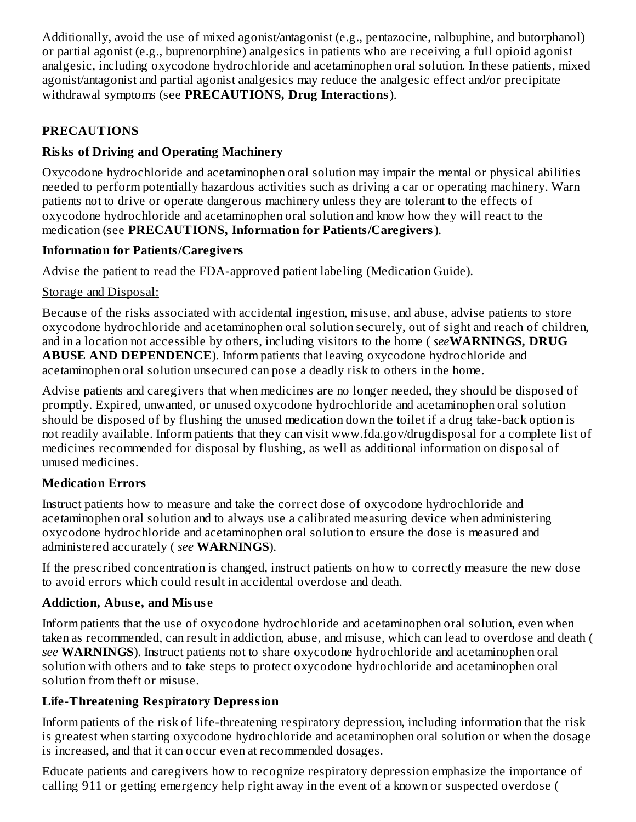Additionally, avoid the use of mixed agonist/antagonist (e.g., pentazocine, nalbuphine, and butorphanol) or partial agonist (e.g., buprenorphine) analgesics in patients who are receiving a full opioid agonist analgesic, including oxycodone hydrochloride and acetaminophen oral solution. In these patients, mixed agonist/antagonist and partial agonist analgesics may reduce the analgesic effect and/or precipitate withdrawal symptoms (see **PRECAUTIONS, Drug Interactions**).

## **PRECAUTIONS**

## **Risks of Driving and Operating Machinery**

Oxycodone hydrochloride and acetaminophen oral solution may impair the mental or physical abilities needed to perform potentially hazardous activities such as driving a car or operating machinery. Warn patients not to drive or operate dangerous machinery unless they are tolerant to the effects of oxycodone hydrochloride and acetaminophen oral solution and know how they will react to the medication (see **PRECAUTIONS, Information for Patients/Caregivers**).

### **Information for Patients/Caregivers**

Advise the patient to read the FDA-approved patient labeling (Medication Guide).

### Storage and Disposal:

Because of the risks associated with accidental ingestion, misuse, and abuse, advise patients to store oxycodone hydrochloride and acetaminophen oral solution securely, out of sight and reach of children, and in a location not accessible by others, including visitors to the home ( *see***WARNINGS, DRUG ABUSE AND DEPENDENCE**). Inform patients that leaving oxycodone hydrochloride and acetaminophen oral solution unsecured can pose a deadly risk to others in the home.

Advise patients and caregivers that when medicines are no longer needed, they should be disposed of promptly. Expired, unwanted, or unused oxycodone hydrochloride and acetaminophen oral solution should be disposed of by flushing the unused medication down the toilet if a drug take-back option is not readily available. Inform patients that they can visit www.fda.gov/drugdisposal for a complete list of medicines recommended for disposal by flushing, as well as additional information on disposal of unused medicines.

## **Medication Errors**

Instruct patients how to measure and take the correct dose of oxycodone hydrochloride and acetaminophen oral solution and to always use a calibrated measuring device when administering oxycodone hydrochloride and acetaminophen oral solution to ensure the dose is measured and administered accurately ( *see* **WARNINGS**).

If the prescribed concentration is changed, instruct patients on how to correctly measure the new dose to avoid errors which could result in accidental overdose and death.

## **Addiction, Abus e, and Misus e**

Inform patients that the use of oxycodone hydrochloride and acetaminophen oral solution, even when taken as recommended, can result in addiction, abuse, and misuse, which can lead to overdose and death ( *see* **WARNINGS**). Instruct patients not to share oxycodone hydrochloride and acetaminophen oral solution with others and to take steps to protect oxycodone hydrochloride and acetaminophen oral solution from theft or misuse.

## **Life-Threatening Respiratory Depression**

Inform patients of the risk of life-threatening respiratory depression, including information that the risk is greatest when starting oxycodone hydrochloride and acetaminophen oral solution or when the dosage is increased, and that it can occur even at recommended dosages.

Educate patients and caregivers how to recognize respiratory depression emphasize the importance of calling 911 or getting emergency help right away in the event of a known or suspected overdose (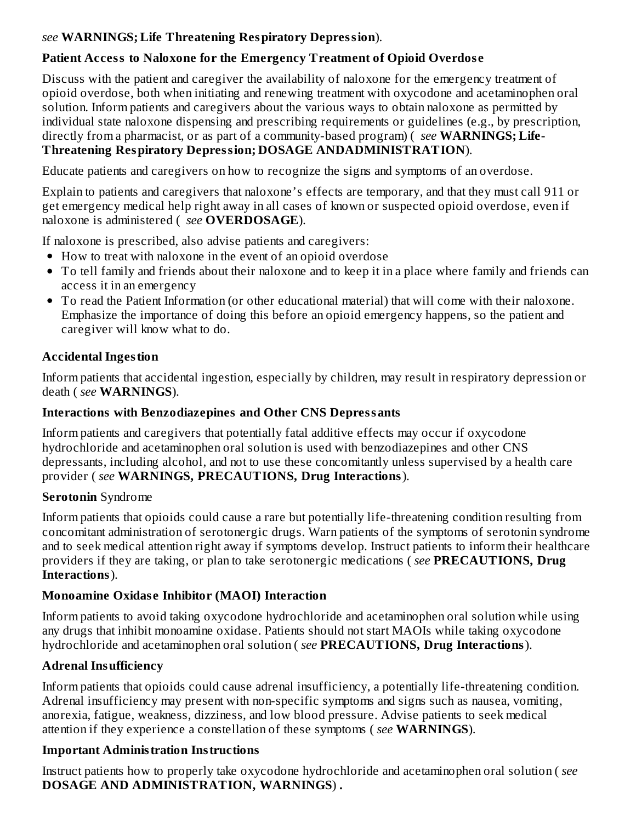#### *see* **WARNINGS; Life Threatening Respiratory Depression**).

## **Patient Access to Naloxone for the Emergency Treatment of Opioid Overdos e**

Discuss with the patient and caregiver the availability of naloxone for the emergency treatment of opioid overdose, both when initiating and renewing treatment with oxycodone and acetaminophen oral solution. Inform patients and caregivers about the various ways to obtain naloxone as permitted by individual state naloxone dispensing and prescribing requirements or guidelines (e.g., by prescription, directly from a pharmacist, or as part of a community-based program) ( *see* **WARNINGS; Life-Threatening Respiratory Depression; DOSAGE ANDADMINISTRATION**).

## Educate patients and caregivers on how to recognize the signs and symptoms of an overdose.

Explain to patients and caregivers that naloxone's effects are temporary, and that they must call 911 or get emergency medical help right away in all cases of known or suspected opioid overdose, even if naloxone is administered ( *see* **OVERDOSAGE**).

If naloxone is prescribed, also advise patients and caregivers:

- How to treat with naloxone in the event of an opioid overdose
- To tell family and friends about their naloxone and to keep it in a place where family and friends can access it in an emergency
- To read the Patient Information (or other educational material) that will come with their naloxone. Emphasize the importance of doing this before an opioid emergency happens, so the patient and caregiver will know what to do.

## **Accidental Ingestion**

Inform patients that accidental ingestion, especially by children, may result in respiratory depression or death ( *see* **WARNINGS**).

## **Interactions with Benzodiazepines and Other CNS Depressants**

Inform patients and caregivers that potentially fatal additive effects may occur if oxycodone hydrochloride and acetaminophen oral solution is used with benzodiazepines and other CNS depressants, including alcohol, and not to use these concomitantly unless supervised by a health care provider ( *see* **WARNINGS, PRECAUTIONS, Drug Interactions**).

## **Serotonin** Syndrome

Inform patients that opioids could cause a rare but potentially life-threatening condition resulting from concomitant administration of serotonergic drugs. Warn patients of the symptoms of serotonin syndrome and to seek medical attention right away if symptoms develop. Instruct patients to inform their healthcare providers if they are taking, or plan to take serotonergic medications ( *see* **PRECAUTIONS, Drug Interactions**).

## **Monoamine Oxidas e Inhibitor (MAOI) Interaction**

Inform patients to avoid taking oxycodone hydrochloride and acetaminophen oral solution while using any drugs that inhibit monoamine oxidase. Patients should not start MAOIs while taking oxycodone hydrochloride and acetaminophen oral solution ( *see* **PRECAUTIONS, Drug Interactions**).

## **Adrenal Insufficiency**

Inform patients that opioids could cause adrenal insufficiency, a potentially life-threatening condition. Adrenal insufficiency may present with non-specific symptoms and signs such as nausea, vomiting, anorexia, fatigue, weakness, dizziness, and low blood pressure. Advise patients to seek medical attention if they experience a constellation of these symptoms ( *see* **WARNINGS**).

## **Important Administration Instructions**

Instruct patients how to properly take oxycodone hydrochloride and acetaminophen oral solution ( *see* **DOSAGE AND ADMINISTRATION, WARNINGS**) **.**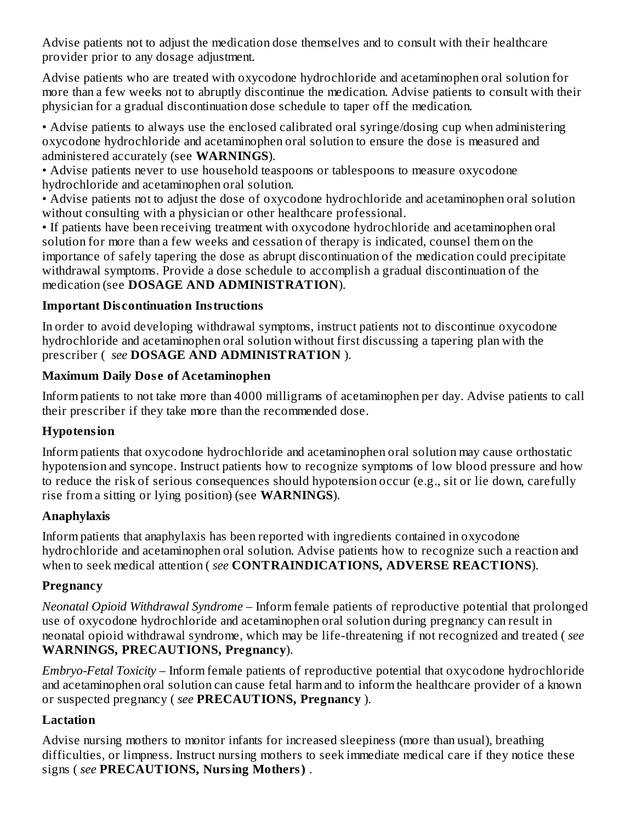Advise patients not to adjust the medication dose themselves and to consult with their healthcare provider prior to any dosage adjustment.

Advise patients who are treated with oxycodone hydrochloride and acetaminophen oral solution for more than a few weeks not to abruptly discontinue the medication. Advise patients to consult with their physician for a gradual discontinuation dose schedule to taper off the medication.

• Advise patients to always use the enclosed calibrated oral syringe/dosing cup when administering oxycodone hydrochloride and acetaminophen oral solution to ensure the dose is measured and administered accurately (see **WARNINGS**).

• Advise patients never to use household teaspoons or tablespoons to measure oxycodone hydrochloride and acetaminophen oral solution.

• Advise patients not to adjust the dose of oxycodone hydrochloride and acetaminophen oral solution without consulting with a physician or other healthcare professional.

• If patients have been receiving treatment with oxycodone hydrochloride and acetaminophen oral solution for more than a few weeks and cessation of therapy is indicated, counsel them on the importance of safely tapering the dose as abrupt discontinuation of the medication could precipitate withdrawal symptoms. Provide a dose schedule to accomplish a gradual discontinuation of the medication (see **DOSAGE AND ADMINISTRATION**).

### **Important Dis continuation Instructions**

In order to avoid developing withdrawal symptoms, instruct patients not to discontinue oxycodone hydrochloride and acetaminophen oral solution without first discussing a tapering plan with the prescriber ( *see* **DOSAGE AND ADMINISTRATION** ).

### **Maximum Daily Dos e of Acetaminophen**

Inform patients to not take more than 4000 milligrams of acetaminophen per day. Advise patients to call their prescriber if they take more than the recommended dose.

## **Hypotension**

Inform patients that oxycodone hydrochloride and acetaminophen oral solution may cause orthostatic hypotension and syncope. Instruct patients how to recognize symptoms of low blood pressure and how to reduce the risk of serious consequences should hypotension occur (e.g., sit or lie down, carefully rise from a sitting or lying position) (see **WARNINGS**).

## **Anaphylaxis**

Inform patients that anaphylaxis has been reported with ingredients contained in oxycodone hydrochloride and acetaminophen oral solution. Advise patients how to recognize such a reaction and when to seek medical attention ( *see* **CONTRAINDICATIONS, ADVERSE REACTIONS**).

## **Pregnancy**

*Neonatal Opioid Withdrawal Syndrome –* Inform female patients of reproductive potential that prolonged use of oxycodone hydrochloride and acetaminophen oral solution during pregnancy can result in neonatal opioid withdrawal syndrome, which may be life-threatening if not recognized and treated ( *see* **WARNINGS, PRECAUTIONS, Pregnancy**).

*Embryo-Fetal Toxicity –* Inform female patients of reproductive potential that oxycodone hydrochloride and acetaminophen oral solution can cause fetal harm and to inform the healthcare provider of a known or suspected pregnancy ( *see* **PRECAUTIONS, Pregnancy** ).

## **Lactation**

Advise nursing mothers to monitor infants for increased sleepiness (more than usual), breathing difficulties, or limpness. Instruct nursing mothers to seek immediate medical care if they notice these signs ( *see* **PRECAUTIONS, Nursing Mothers)** .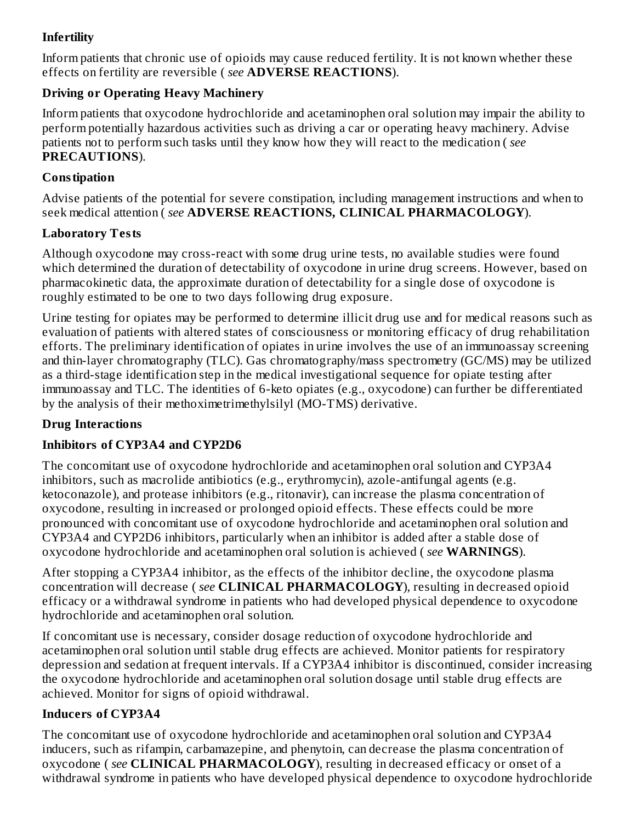### **Infertility**

Inform patients that chronic use of opioids may cause reduced fertility. It is not known whether these effects on fertility are reversible ( *see* **ADVERSE REACTIONS**).

### **Driving or Operating Heavy Machinery**

Inform patients that oxycodone hydrochloride and acetaminophen oral solution may impair the ability to perform potentially hazardous activities such as driving a car or operating heavy machinery. Advise patients not to perform such tasks until they know how they will react to the medication ( *see* **PRECAUTIONS**).

### **Constipation**

Advise patients of the potential for severe constipation, including management instructions and when to seek medical attention ( *see* **ADVERSE REACTIONS, CLINICAL PHARMACOLOGY**).

## **Laboratory Tests**

Although oxycodone may cross-react with some drug urine tests, no available studies were found which determined the duration of detectability of oxycodone in urine drug screens. However, based on pharmacokinetic data, the approximate duration of detectability for a single dose of oxycodone is roughly estimated to be one to two days following drug exposure.

Urine testing for opiates may be performed to determine illicit drug use and for medical reasons such as evaluation of patients with altered states of consciousness or monitoring efficacy of drug rehabilitation efforts. The preliminary identification of opiates in urine involves the use of an immunoassay screening and thin-layer chromatography (TLC). Gas chromatography/mass spectrometry (GC/MS) may be utilized as a third-stage identification step in the medical investigational sequence for opiate testing after immunoassay and TLC. The identities of 6-keto opiates (e.g., oxycodone) can further be differentiated by the analysis of their methoximetrimethylsilyl (MO-TMS) derivative.

## **Drug Interactions**

### **Inhibitors of CYP3A4 and CYP2D6**

The concomitant use of oxycodone hydrochloride and acetaminophen oral solution and CYP3A4 inhibitors, such as macrolide antibiotics (e.g., erythromycin), azole-antifungal agents (e.g. ketoconazole), and protease inhibitors (e.g., ritonavir), can increase the plasma concentration of oxycodone, resulting in increased or prolonged opioid effects. These effects could be more pronounced with concomitant use of oxycodone hydrochloride and acetaminophen oral solution and CYP3A4 and CYP2D6 inhibitors, particularly when an inhibitor is added after a stable dose of oxycodone hydrochloride and acetaminophen oral solution is achieved ( *see* **WARNINGS**).

After stopping a CYP3A4 inhibitor, as the effects of the inhibitor decline, the oxycodone plasma concentration will decrease ( *see* **CLINICAL PHARMACOLOGY**), resulting in decreased opioid efficacy or a withdrawal syndrome in patients who had developed physical dependence to oxycodone hydrochloride and acetaminophen oral solution.

If concomitant use is necessary, consider dosage reduction of oxycodone hydrochloride and acetaminophen oral solution until stable drug effects are achieved. Monitor patients for respiratory depression and sedation at frequent intervals. If a CYP3A4 inhibitor is discontinued, consider increasing the oxycodone hydrochloride and acetaminophen oral solution dosage until stable drug effects are achieved. Monitor for signs of opioid withdrawal.

## **Inducers of CYP3A4**

The concomitant use of oxycodone hydrochloride and acetaminophen oral solution and CYP3A4 inducers, such as rifampin, carbamazepine, and phenytoin, can decrease the plasma concentration of oxycodone ( *see* **CLINICAL PHARMACOLOGY**), resulting in decreased efficacy or onset of a withdrawal syndrome in patients who have developed physical dependence to oxycodone hydrochloride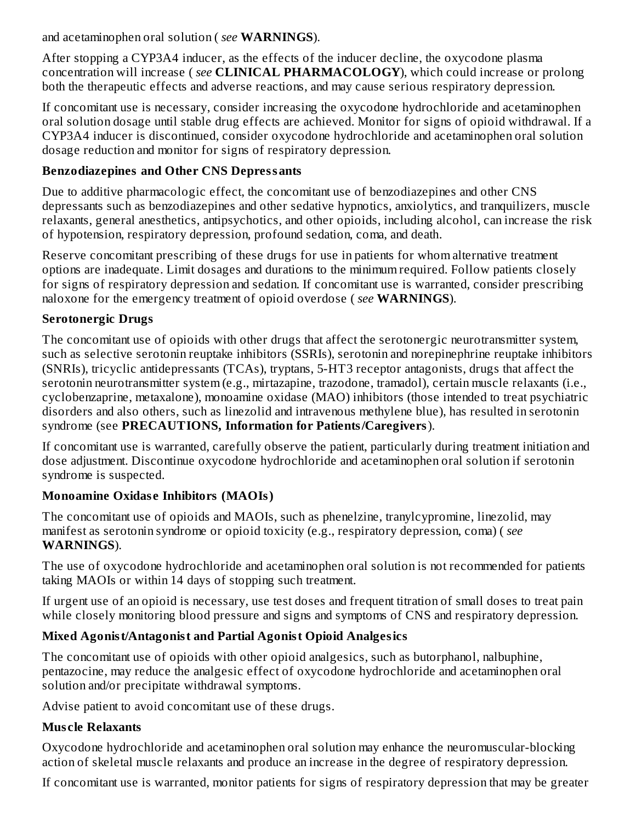and acetaminophen oral solution ( *see* **WARNINGS**).

After stopping a CYP3A4 inducer, as the effects of the inducer decline, the oxycodone plasma concentration will increase ( *see* **CLINICAL PHARMACOLOGY**), which could increase or prolong both the therapeutic effects and adverse reactions, and may cause serious respiratory depression.

If concomitant use is necessary, consider increasing the oxycodone hydrochloride and acetaminophen oral solution dosage until stable drug effects are achieved. Monitor for signs of opioid withdrawal. If a CYP3A4 inducer is discontinued, consider oxycodone hydrochloride and acetaminophen oral solution dosage reduction and monitor for signs of respiratory depression.

### **Benzodiazepines and Other CNS Depressants**

Due to additive pharmacologic effect, the concomitant use of benzodiazepines and other CNS depressants such as benzodiazepines and other sedative hypnotics, anxiolytics, and tranquilizers, muscle relaxants, general anesthetics, antipsychotics, and other opioids, including alcohol, can increase the risk of hypotension, respiratory depression, profound sedation, coma, and death.

Reserve concomitant prescribing of these drugs for use in patients for whom alternative treatment options are inadequate. Limit dosages and durations to the minimum required. Follow patients closely for signs of respiratory depression and sedation. If concomitant use is warranted, consider prescribing naloxone for the emergency treatment of opioid overdose ( *see* **WARNINGS**).

### **Serotonergic Drugs**

The concomitant use of opioids with other drugs that affect the serotonergic neurotransmitter system, such as selective serotonin reuptake inhibitors (SSRIs), serotonin and norepinephrine reuptake inhibitors (SNRIs), tricyclic antidepressants (TCAs), tryptans, 5-HT3 receptor antagonists, drugs that affect the serotonin neurotransmitter system (e.g., mirtazapine, trazodone, tramadol), certain muscle relaxants (i.e., cyclobenzaprine, metaxalone), monoamine oxidase (MAO) inhibitors (those intended to treat psychiatric disorders and also others, such as linezolid and intravenous methylene blue), has resulted in serotonin syndrome (see **PRECAUTIONS, Information for Patients/Caregivers**).

If concomitant use is warranted, carefully observe the patient, particularly during treatment initiation and dose adjustment. Discontinue oxycodone hydrochloride and acetaminophen oral solution if serotonin syndrome is suspected.

## **Monoamine Oxidas e Inhibitors (MAOIs)**

The concomitant use of opioids and MAOIs, such as phenelzine, tranylcypromine, linezolid, may manifest as serotonin syndrome or opioid toxicity (e.g., respiratory depression, coma) ( *see* **WARNINGS**).

The use of oxycodone hydrochloride and acetaminophen oral solution is not recommended for patients taking MAOIs or within 14 days of stopping such treatment.

If urgent use of an opioid is necessary, use test doses and frequent titration of small doses to treat pain while closely monitoring blood pressure and signs and symptoms of CNS and respiratory depression.

## **Mixed Agonist/Antagonist and Partial Agonist Opioid Analgesics**

The concomitant use of opioids with other opioid analgesics, such as butorphanol, nalbuphine, pentazocine, may reduce the analgesic effect of oxycodone hydrochloride and acetaminophen oral solution and/or precipitate withdrawal symptoms.

Advise patient to avoid concomitant use of these drugs.

## **Mus cle Relaxants**

Oxycodone hydrochloride and acetaminophen oral solution may enhance the neuromuscular-blocking action of skeletal muscle relaxants and produce an increase in the degree of respiratory depression.

If concomitant use is warranted, monitor patients for signs of respiratory depression that may be greater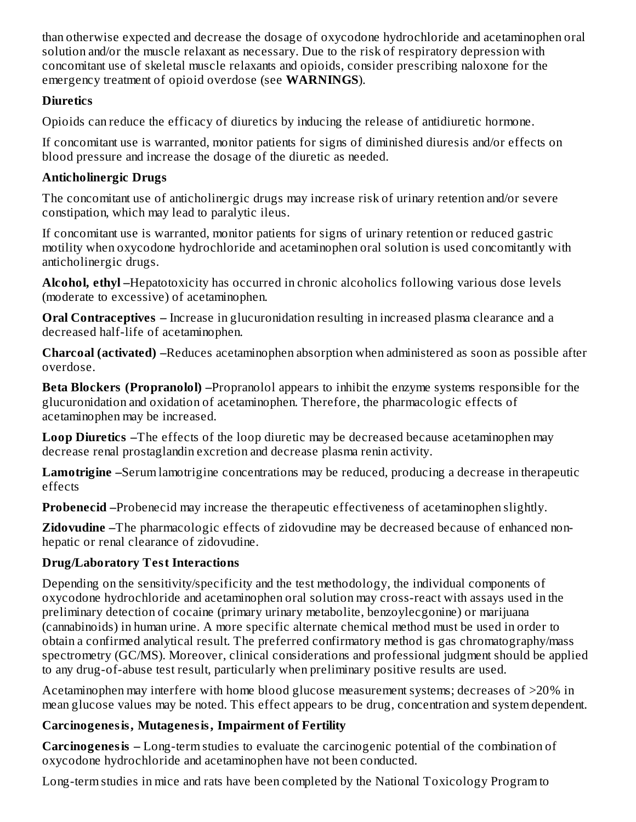than otherwise expected and decrease the dosage of oxycodone hydrochloride and acetaminophen oral solution and/or the muscle relaxant as necessary. Due to the risk of respiratory depression with concomitant use of skeletal muscle relaxants and opioids, consider prescribing naloxone for the emergency treatment of opioid overdose (see **WARNINGS**).

### **Diuretics**

Opioids can reduce the efficacy of diuretics by inducing the release of antidiuretic hormone.

If concomitant use is warranted, monitor patients for signs of diminished diuresis and/or effects on blood pressure and increase the dosage of the diuretic as needed.

## **Anticholinergic Drugs**

The concomitant use of anticholinergic drugs may increase risk of urinary retention and/or severe constipation, which may lead to paralytic ileus.

If concomitant use is warranted, monitor patients for signs of urinary retention or reduced gastric motility when oxycodone hydrochloride and acetaminophen oral solution is used concomitantly with anticholinergic drugs.

**Alcohol, ethyl –**Hepatotoxicity has occurred in chronic alcoholics following various dose levels (moderate to excessive) of acetaminophen.

**Oral Contraceptives –** Increase in glucuronidation resulting in increased plasma clearance and a decreased half-life of acetaminophen.

**Charcoal (activated) –**Reduces acetaminophen absorption when administered as soon as possible after overdose.

**Beta Blockers (Propranolol) –**Propranolol appears to inhibit the enzyme systems responsible for the glucuronidation and oxidation of acetaminophen. Therefore, the pharmacologic effects of acetaminophen may be increased.

**Loop Diuretics –**The effects of the loop diuretic may be decreased because acetaminophen may decrease renal prostaglandin excretion and decrease plasma renin activity.

**Lamotrigine –**Serum lamotrigine concentrations may be reduced, producing a decrease in therapeutic effects

**Probenecid –**Probenecid may increase the therapeutic effectiveness of acetaminophen slightly.

**Zidovudine –**The pharmacologic effects of zidovudine may be decreased because of enhanced nonhepatic or renal clearance of zidovudine.

## **Drug/Laboratory Test Interactions**

Depending on the sensitivity/specificity and the test methodology, the individual components of oxycodone hydrochloride and acetaminophen oral solution may cross-react with assays used in the preliminary detection of cocaine (primary urinary metabolite, benzoylecgonine) or marijuana (cannabinoids) in human urine. A more specific alternate chemical method must be used in order to obtain a confirmed analytical result. The preferred confirmatory method is gas chromatography/mass spectrometry (GC/MS). Moreover, clinical considerations and professional judgment should be applied to any drug-of-abuse test result, particularly when preliminary positive results are used.

Acetaminophen may interfere with home blood glucose measurement systems; decreases of >20% in mean glucose values may be noted. This effect appears to be drug, concentration and system dependent.

## **Carcinogenesis, Mutagenesis, Impairment of Fertility**

**Carcinogenesis –** Long-term studies to evaluate the carcinogenic potential of the combination of oxycodone hydrochloride and acetaminophen have not been conducted.

Long-term studies in mice and rats have been completed by the National Toxicology Program to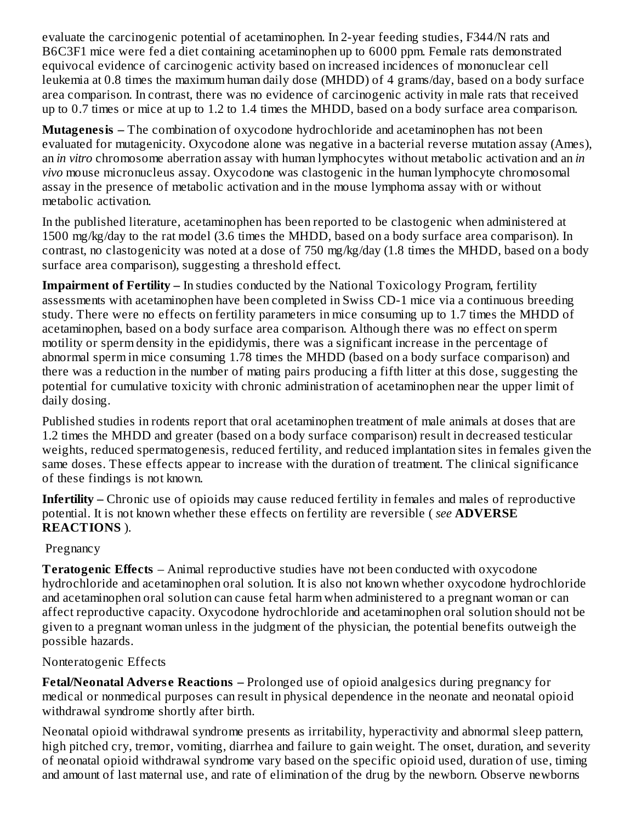evaluate the carcinogenic potential of acetaminophen. In 2-year feeding studies, F344/N rats and B6C3F1 mice were fed a diet containing acetaminophen up to 6000 ppm. Female rats demonstrated equivocal evidence of carcinogenic activity based on increased incidences of mononuclear cell leukemia at 0.8 times the maximum human daily dose (MHDD) of 4 grams/day, based on a body surface area comparison. In contrast, there was no evidence of carcinogenic activity in male rats that received up to 0.7 times or mice at up to 1.2 to 1.4 times the MHDD, based on a body surface area comparison.

**Mutagenesis –** The combination of oxycodone hydrochloride and acetaminophen has not been evaluated for mutagenicity. Oxycodone alone was negative in a bacterial reverse mutation assay (Ames), an *in vitro* chromosome aberration assay with human lymphocytes without metabolic activation and an *in vivo* mouse micronucleus assay. Oxycodone was clastogenic in the human lymphocyte chromosomal assay in the presence of metabolic activation and in the mouse lymphoma assay with or without metabolic activation.

In the published literature, acetaminophen has been reported to be clastogenic when administered at 1500 mg/kg/day to the rat model (3.6 times the MHDD, based on a body surface area comparison). In contrast, no clastogenicity was noted at a dose of 750 mg/kg/day (1.8 times the MHDD, based on a body surface area comparison), suggesting a threshold effect.

**Impairment of Fertility –** In studies conducted by the National Toxicology Program, fertility assessments with acetaminophen have been completed in Swiss CD-1 mice via a continuous breeding study. There were no effects on fertility parameters in mice consuming up to 1.7 times the MHDD of acetaminophen, based on a body surface area comparison. Although there was no effect on sperm motility or sperm density in the epididymis, there was a significant increase in the percentage of abnormal sperm in mice consuming 1.78 times the MHDD (based on a body surface comparison) and there was a reduction in the number of mating pairs producing a fifth litter at this dose, suggesting the potential for cumulative toxicity with chronic administration of acetaminophen near the upper limit of daily dosing.

Published studies in rodents report that oral acetaminophen treatment of male animals at doses that are 1.2 times the MHDD and greater (based on a body surface comparison) result in decreased testicular weights, reduced spermatogenesis, reduced fertility, and reduced implantation sites in females given the same doses. These effects appear to increase with the duration of treatment. The clinical significance of these findings is not known.

**Infertility –** Chronic use of opioids may cause reduced fertility in females and males of reproductive potential. It is not known whether these effects on fertility are reversible ( *see* **ADVERSE REACTIONS** ).

**Pregnancy** 

**Teratogenic Effects** *–* Animal reproductive studies have not been conducted with oxycodone hydrochloride and acetaminophen oral solution. It is also not known whether oxycodone hydrochloride and acetaminophen oral solution can cause fetal harm when administered to a pregnant woman or can affect reproductive capacity. Oxycodone hydrochloride and acetaminophen oral solution should not be given to a pregnant woman unless in the judgment of the physician, the potential benefits outweigh the possible hazards.

### Nonteratogenic Effects

**Fetal/Neonatal Adverse Reactions** – Prolonged use of opioid analgesics during pregnancy for medical or nonmedical purposes can result in physical dependence in the neonate and neonatal opioid withdrawal syndrome shortly after birth.

Neonatal opioid withdrawal syndrome presents as irritability, hyperactivity and abnormal sleep pattern, high pitched cry, tremor, vomiting, diarrhea and failure to gain weight. The onset, duration, and severity of neonatal opioid withdrawal syndrome vary based on the specific opioid used, duration of use, timing and amount of last maternal use, and rate of elimination of the drug by the newborn. Observe newborns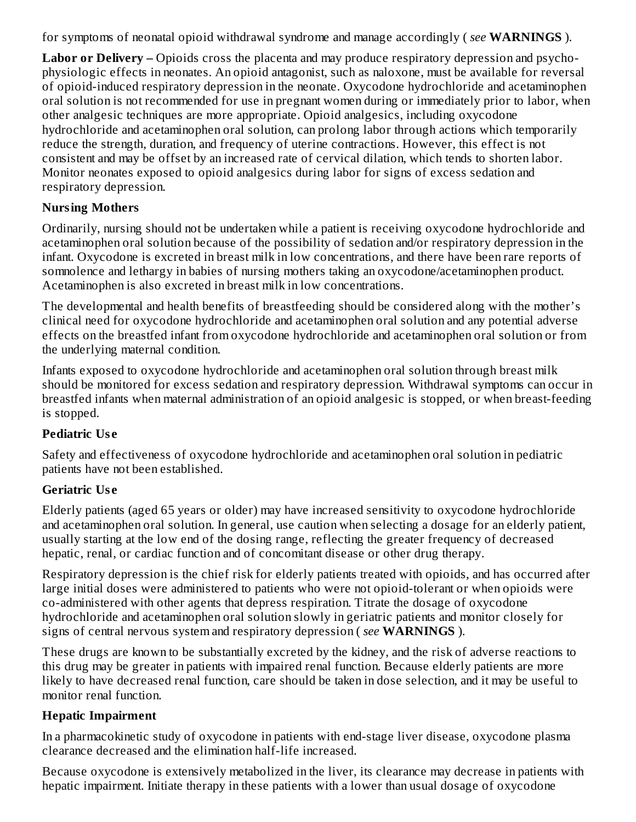for symptoms of neonatal opioid withdrawal syndrome and manage accordingly ( *see* **WARNINGS** ).

**Labor or Delivery –** Opioids cross the placenta and may produce respiratory depression and psychophysiologic effects in neonates. An opioid antagonist, such as naloxone, must be available for reversal of opioid-induced respiratory depression in the neonate. Oxycodone hydrochloride and acetaminophen oral solution is not recommended for use in pregnant women during or immediately prior to labor, when other analgesic techniques are more appropriate. Opioid analgesics, including oxycodone hydrochloride and acetaminophen oral solution, can prolong labor through actions which temporarily reduce the strength, duration, and frequency of uterine contractions. However, this effect is not consistent and may be offset by an increased rate of cervical dilation, which tends to shorten labor. Monitor neonates exposed to opioid analgesics during labor for signs of excess sedation and respiratory depression.

### **Nursing Mothers**

Ordinarily, nursing should not be undertaken while a patient is receiving oxycodone hydrochloride and acetaminophen oral solution because of the possibility of sedation and/or respiratory depression in the infant. Oxycodone is excreted in breast milk in low concentrations, and there have been rare reports of somnolence and lethargy in babies of nursing mothers taking an oxycodone/acetaminophen product. Acetaminophen is also excreted in breast milk in low concentrations.

The developmental and health benefits of breastfeeding should be considered along with the mother's clinical need for oxycodone hydrochloride and acetaminophen oral solution and any potential adverse effects on the breastfed infant from oxycodone hydrochloride and acetaminophen oral solution or from the underlying maternal condition.

Infants exposed to oxycodone hydrochloride and acetaminophen oral solution through breast milk should be monitored for excess sedation and respiratory depression. Withdrawal symptoms can occur in breastfed infants when maternal administration of an opioid analgesic is stopped, or when breast-feeding is stopped.

## **Pediatric Us e**

Safety and effectiveness of oxycodone hydrochloride and acetaminophen oral solution in pediatric patients have not been established.

### **Geriatric Us e**

Elderly patients (aged 65 years or older) may have increased sensitivity to oxycodone hydrochloride and acetaminophen oral solution. In general, use caution when selecting a dosage for an elderly patient, usually starting at the low end of the dosing range, reflecting the greater frequency of decreased hepatic, renal, or cardiac function and of concomitant disease or other drug therapy.

Respiratory depression is the chief risk for elderly patients treated with opioids, and has occurred after large initial doses were administered to patients who were not opioid-tolerant or when opioids were co-administered with other agents that depress respiration. Titrate the dosage of oxycodone hydrochloride and acetaminophen oral solution slowly in geriatric patients and monitor closely for signs of central nervous system and respiratory depression ( *see* **WARNINGS** ).

These drugs are known to be substantially excreted by the kidney, and the risk of adverse reactions to this drug may be greater in patients with impaired renal function. Because elderly patients are more likely to have decreased renal function, care should be taken in dose selection, and it may be useful to monitor renal function.

### **Hepatic Impairment**

In a pharmacokinetic study of oxycodone in patients with end-stage liver disease, oxycodone plasma clearance decreased and the elimination half-life increased.

Because oxycodone is extensively metabolized in the liver, its clearance may decrease in patients with hepatic impairment. Initiate therapy in these patients with a lower than usual dosage of oxycodone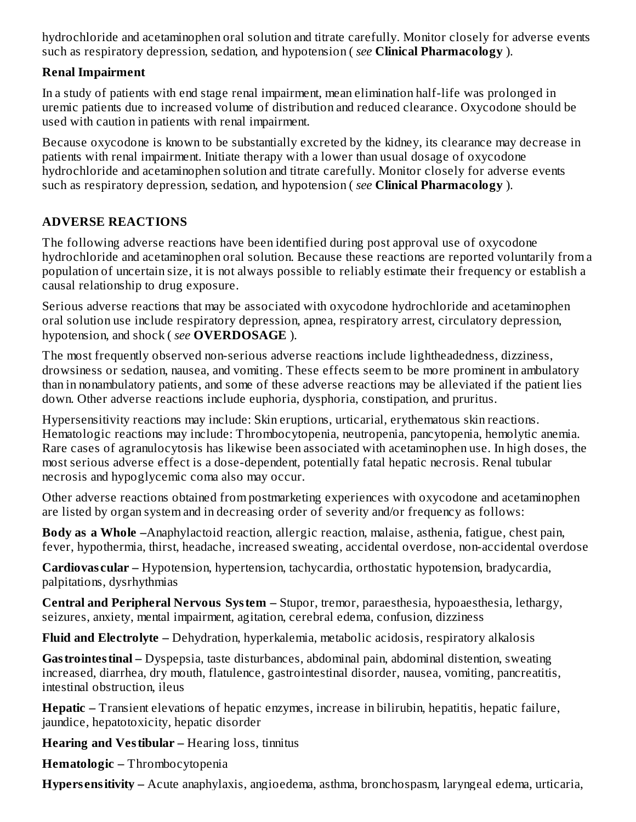hydrochloride and acetaminophen oral solution and titrate carefully. Monitor closely for adverse events such as respiratory depression, sedation, and hypotension ( *see* **Clinical Pharmacology** ).

#### **Renal Impairment**

In a study of patients with end stage renal impairment, mean elimination half-life was prolonged in uremic patients due to increased volume of distribution and reduced clearance. Oxycodone should be used with caution in patients with renal impairment.

Because oxycodone is known to be substantially excreted by the kidney, its clearance may decrease in patients with renal impairment. Initiate therapy with a lower than usual dosage of oxycodone hydrochloride and acetaminophen solution and titrate carefully. Monitor closely for adverse events such as respiratory depression, sedation, and hypotension ( *see* **Clinical Pharmacology** ).

## **ADVERSE REACTIONS**

The following adverse reactions have been identified during post approval use of oxycodone hydrochloride and acetaminophen oral solution. Because these reactions are reported voluntarily from a population of uncertain size, it is not always possible to reliably estimate their frequency or establish a causal relationship to drug exposure.

Serious adverse reactions that may be associated with oxycodone hydrochloride and acetaminophen oral solution use include respiratory depression, apnea, respiratory arrest, circulatory depression, hypotension, and shock ( *see* **OVERDOSAGE** ).

The most frequently observed non-serious adverse reactions include lightheadedness, dizziness, drowsiness or sedation, nausea, and vomiting. These effects seem to be more prominent in ambulatory than in nonambulatory patients, and some of these adverse reactions may be alleviated if the patient lies down. Other adverse reactions include euphoria, dysphoria, constipation, and pruritus.

Hypersensitivity reactions may include: Skin eruptions, urticarial, erythematous skin reactions. Hematologic reactions may include: Thrombocytopenia, neutropenia, pancytopenia, hemolytic anemia. Rare cases of agranulocytosis has likewise been associated with acetaminophen use. In high doses, the most serious adverse effect is a dose-dependent, potentially fatal hepatic necrosis. Renal tubular necrosis and hypoglycemic coma also may occur.

Other adverse reactions obtained from postmarketing experiences with oxycodone and acetaminophen are listed by organ system and in decreasing order of severity and/or frequency as follows:

**Body as a Whole –**Anaphylactoid reaction, allergic reaction, malaise, asthenia, fatigue, chest pain, fever, hypothermia, thirst, headache, increased sweating, accidental overdose, non-accidental overdose

**Cardiovas cular –** Hypotension, hypertension, tachycardia, orthostatic hypotension, bradycardia, palpitations, dysrhythmias

**Central and Peripheral Nervous System –** Stupor, tremor, paraesthesia, hypoaesthesia, lethargy, seizures, anxiety, mental impairment, agitation, cerebral edema, confusion, dizziness

**Fluid and Electrolyte –** Dehydration, hyperkalemia, metabolic acidosis, respiratory alkalosis

**Gastrointestinal –** Dyspepsia, taste disturbances, abdominal pain, abdominal distention, sweating increased, diarrhea, dry mouth, flatulence, gastrointestinal disorder, nausea, vomiting, pancreatitis, intestinal obstruction, ileus

**Hepatic** – Transient elevations of hepatic enzymes, increase in bilirubin, hepatitis, hepatic failure, jaundice, hepatotoxicity, hepatic disorder

**Hearing and Vestibular –** Hearing loss, tinnitus

**Hematologic –** Thrombocytopenia

**Hypers ensitivity –** Acute anaphylaxis, angioedema, asthma, bronchospasm, laryngeal edema, urticaria,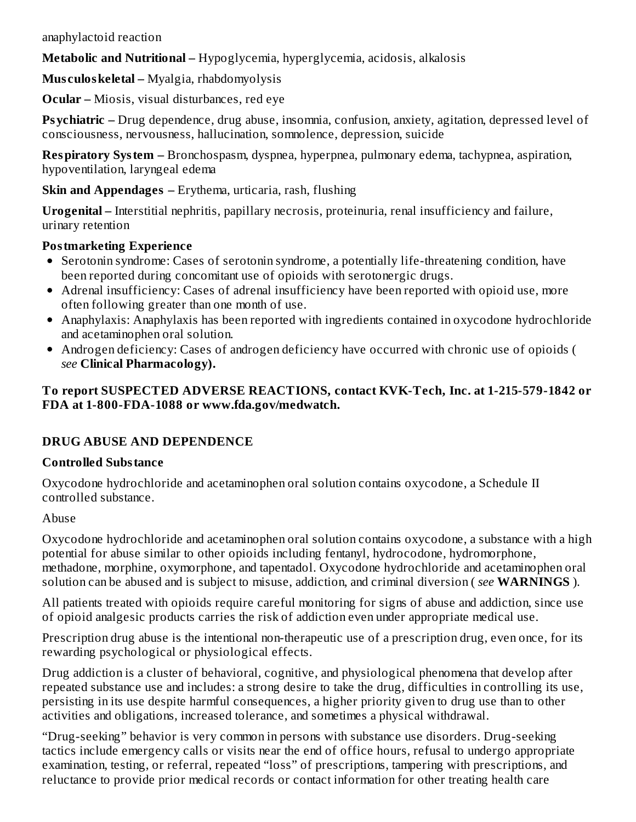#### anaphylactoid reaction

**Metabolic and Nutritional –** Hypoglycemia, hyperglycemia, acidosis, alkalosis

**Mus culoskeletal –** Myalgia, rhabdomyolysis

**Ocular –** Miosis, visual disturbances, red eye

**Psychiatric –** Drug dependence, drug abuse, insomnia, confusion, anxiety, agitation, depressed level of consciousness, nervousness, hallucination, somnolence, depression, suicide

**Respiratory System –** Bronchospasm, dyspnea, hyperpnea, pulmonary edema, tachypnea, aspiration, hypoventilation, laryngeal edema

**Skin and Appendages –** Erythema, urticaria, rash, flushing

**Urogenital –** Interstitial nephritis, papillary necrosis, proteinuria, renal insufficiency and failure, urinary retention

#### **Postmarketing Experience**

- Serotonin syndrome: Cases of serotonin syndrome, a potentially life-threatening condition, have been reported during concomitant use of opioids with serotonergic drugs.
- Adrenal insufficiency: Cases of adrenal insufficiency have been reported with opioid use, more often following greater than one month of use.
- Anaphylaxis: Anaphylaxis has been reported with ingredients contained in oxycodone hydrochloride and acetaminophen oral solution.
- Androgen deficiency: Cases of androgen deficiency have occurred with chronic use of opioids ( *see* **Clinical Pharmacology).**

#### **To report SUSPECTED ADVERSE REACTIONS, contact KVK-Tech, Inc. at 1-215-579-1842 or FDA at 1-800-FDA-1088 or www.fda.gov/medwatch.**

### **DRUG ABUSE AND DEPENDENCE**

#### **Controlled Substance**

Oxycodone hydrochloride and acetaminophen oral solution contains oxycodone, a Schedule II controlled substance.

#### Abuse

Oxycodone hydrochloride and acetaminophen oral solution contains oxycodone, a substance with a high potential for abuse similar to other opioids including fentanyl, hydrocodone, hydromorphone, methadone, morphine, oxymorphone, and tapentadol. Oxycodone hydrochloride and acetaminophen oral solution can be abused and is subject to misuse, addiction, and criminal diversion ( *see* **WARNINGS** ).

All patients treated with opioids require careful monitoring for signs of abuse and addiction, since use of opioid analgesic products carries the risk of addiction even under appropriate medical use.

Prescription drug abuse is the intentional non-therapeutic use of a prescription drug, even once, for its rewarding psychological or physiological effects.

Drug addiction is a cluster of behavioral, cognitive, and physiological phenomena that develop after repeated substance use and includes: a strong desire to take the drug, difficulties in controlling its use, persisting in its use despite harmful consequences, a higher priority given to drug use than to other activities and obligations, increased tolerance, and sometimes a physical withdrawal.

"Drug-seeking" behavior is very common in persons with substance use disorders. Drug-seeking tactics include emergency calls or visits near the end of office hours, refusal to undergo appropriate examination, testing, or referral, repeated "loss" of prescriptions, tampering with prescriptions, and reluctance to provide prior medical records or contact information for other treating health care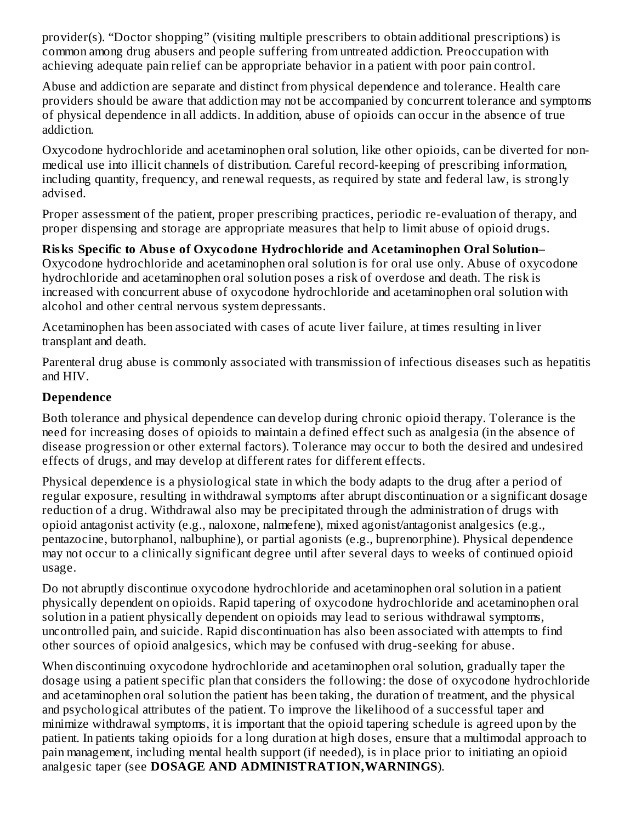provider(s). "Doctor shopping" (visiting multiple prescribers to obtain additional prescriptions) is common among drug abusers and people suffering from untreated addiction. Preoccupation with achieving adequate pain relief can be appropriate behavior in a patient with poor pain control.

Abuse and addiction are separate and distinct from physical dependence and tolerance. Health care providers should be aware that addiction may not be accompanied by concurrent tolerance and symptoms of physical dependence in all addicts. In addition, abuse of opioids can occur in the absence of true addiction.

Oxycodone hydrochloride and acetaminophen oral solution, like other opioids, can be diverted for nonmedical use into illicit channels of distribution. Careful record-keeping of prescribing information, including quantity, frequency, and renewal requests, as required by state and federal law, is strongly advised.

Proper assessment of the patient, proper prescribing practices, periodic re-evaluation of therapy, and proper dispensing and storage are appropriate measures that help to limit abuse of opioid drugs.

**Risks Specific to Abus e of Oxycodone Hydrochloride and Acetaminophen Oral Solution–** Oxycodone hydrochloride and acetaminophen oral solution is for oral use only. Abuse of oxycodone hydrochloride and acetaminophen oral solution poses a risk of overdose and death. The risk is increased with concurrent abuse of oxycodone hydrochloride and acetaminophen oral solution with alcohol and other central nervous system depressants.

Acetaminophen has been associated with cases of acute liver failure, at times resulting in liver transplant and death.

Parenteral drug abuse is commonly associated with transmission of infectious diseases such as hepatitis and HIV.

#### **Dependence**

Both tolerance and physical dependence can develop during chronic opioid therapy. Tolerance is the need for increasing doses of opioids to maintain a defined effect such as analgesia (in the absence of disease progression or other external factors). Tolerance may occur to both the desired and undesired effects of drugs, and may develop at different rates for different effects.

Physical dependence is a physiological state in which the body adapts to the drug after a period of regular exposure, resulting in withdrawal symptoms after abrupt discontinuation or a significant dosage reduction of a drug. Withdrawal also may be precipitated through the administration of drugs with opioid antagonist activity (e.g., naloxone, nalmefene), mixed agonist/antagonist analgesics (e.g., pentazocine, butorphanol, nalbuphine), or partial agonists (e.g., buprenorphine). Physical dependence may not occur to a clinically significant degree until after several days to weeks of continued opioid usage.

Do not abruptly discontinue oxycodone hydrochloride and acetaminophen oral solution in a patient physically dependent on opioids. Rapid tapering of oxycodone hydrochloride and acetaminophen oral solution in a patient physically dependent on opioids may lead to serious withdrawal symptoms, uncontrolled pain, and suicide. Rapid discontinuation has also been associated with attempts to find other sources of opioid analgesics, which may be confused with drug-seeking for abuse.

When discontinuing oxycodone hydrochloride and acetaminophen oral solution, gradually taper the dosage using a patient specific plan that considers the following: the dose of oxycodone hydrochloride and acetaminophen oral solution the patient has been taking, the duration of treatment, and the physical and psychological attributes of the patient. To improve the likelihood of a successful taper and minimize withdrawal symptoms, it is important that the opioid tapering schedule is agreed upon by the patient. In patients taking opioids for a long duration at high doses, ensure that a multimodal approach to pain management, including mental health support (if needed), is in place prior to initiating an opioid analgesic taper (see **DOSAGE AND ADMINISTRATION,WARNINGS**).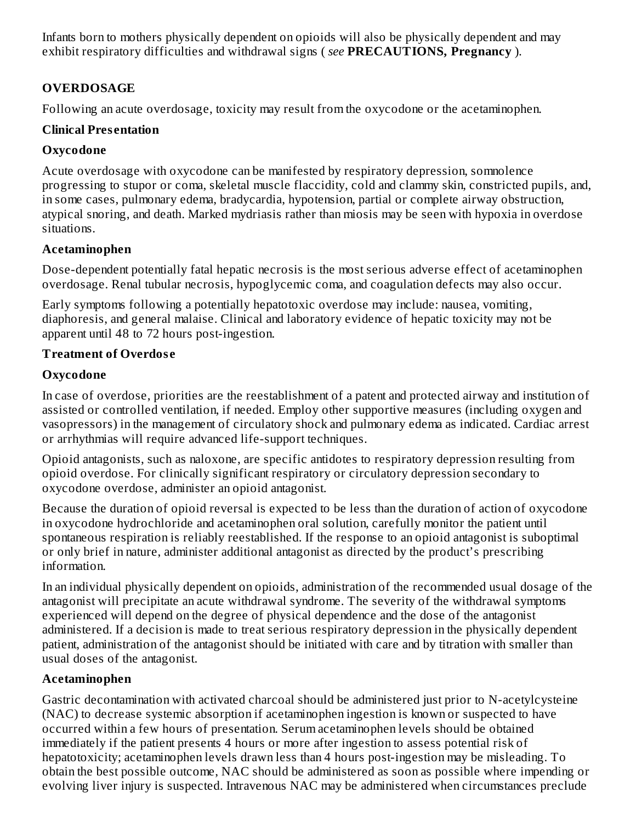Infants born to mothers physically dependent on opioids will also be physically dependent and may exhibit respiratory difficulties and withdrawal signs ( *see* **PRECAUTIONS, Pregnancy** ).

### **OVERDOSAGE**

Following an acute overdosage, toxicity may result from the oxycodone or the acetaminophen.

### **Clinical Pres entation**

#### **Oxycodone**

Acute overdosage with oxycodone can be manifested by respiratory depression, somnolence progressing to stupor or coma, skeletal muscle flaccidity, cold and clammy skin, constricted pupils, and, in some cases, pulmonary edema, bradycardia, hypotension, partial or complete airway obstruction, atypical snoring, and death. Marked mydriasis rather than miosis may be seen with hypoxia in overdose situations.

### **Acetaminophen**

Dose-dependent potentially fatal hepatic necrosis is the most serious adverse effect of acetaminophen overdosage. Renal tubular necrosis, hypoglycemic coma, and coagulation defects may also occur.

Early symptoms following a potentially hepatotoxic overdose may include: nausea, vomiting, diaphoresis, and general malaise. Clinical and laboratory evidence of hepatic toxicity may not be apparent until 48 to 72 hours post-ingestion.

### **Treatment of Overdos e**

### **Oxycodone**

In case of overdose, priorities are the reestablishment of a patent and protected airway and institution of assisted or controlled ventilation, if needed. Employ other supportive measures (including oxygen and vasopressors) in the management of circulatory shock and pulmonary edema as indicated. Cardiac arrest or arrhythmias will require advanced life-support techniques.

Opioid antagonists, such as naloxone, are specific antidotes to respiratory depression resulting from opioid overdose. For clinically significant respiratory or circulatory depression secondary to oxycodone overdose, administer an opioid antagonist.

Because the duration of opioid reversal is expected to be less than the duration of action of oxycodone in oxycodone hydrochloride and acetaminophen oral solution, carefully monitor the patient until spontaneous respiration is reliably reestablished. If the response to an opioid antagonist is suboptimal or only brief in nature, administer additional antagonist as directed by the product's prescribing information.

In an individual physically dependent on opioids, administration of the recommended usual dosage of the antagonist will precipitate an acute withdrawal syndrome. The severity of the withdrawal symptoms experienced will depend on the degree of physical dependence and the dose of the antagonist administered. If a decision is made to treat serious respiratory depression in the physically dependent patient, administration of the antagonist should be initiated with care and by titration with smaller than usual doses of the antagonist.

### **Acetaminophen**

Gastric decontamination with activated charcoal should be administered just prior to N-acetylcysteine (NAC) to decrease systemic absorption if acetaminophen ingestion is known or suspected to have occurred within a few hours of presentation. Serum acetaminophen levels should be obtained immediately if the patient presents 4 hours or more after ingestion to assess potential risk of hepatotoxicity; acetaminophen levels drawn less than 4 hours post-ingestion may be misleading. To obtain the best possible outcome, NAC should be administered as soon as possible where impending or evolving liver injury is suspected. Intravenous NAC may be administered when circumstances preclude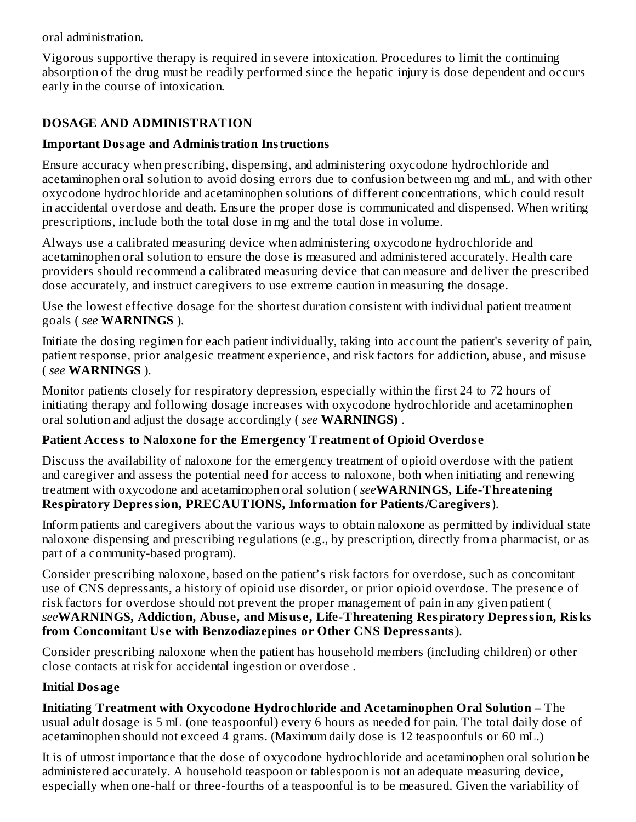oral administration.

Vigorous supportive therapy is required in severe intoxication. Procedures to limit the continuing absorption of the drug must be readily performed since the hepatic injury is dose dependent and occurs early in the course of intoxication.

### **DOSAGE AND ADMINISTRATION**

#### **Important Dosage and Administration Instructions**

Ensure accuracy when prescribing, dispensing, and administering oxycodone hydrochloride and acetaminophen oral solution to avoid dosing errors due to confusion between mg and mL, and with other oxycodone hydrochloride and acetaminophen solutions of different concentrations, which could result in accidental overdose and death. Ensure the proper dose is communicated and dispensed. When writing prescriptions, include both the total dose in mg and the total dose in volume.

Always use a calibrated measuring device when administering oxycodone hydrochloride and acetaminophen oral solution to ensure the dose is measured and administered accurately. Health care providers should recommend a calibrated measuring device that can measure and deliver the prescribed dose accurately, and instruct caregivers to use extreme caution in measuring the dosage.

Use the lowest effective dosage for the shortest duration consistent with individual patient treatment goals ( *see* **WARNINGS** ).

Initiate the dosing regimen for each patient individually, taking into account the patient's severity of pain, patient response, prior analgesic treatment experience, and risk factors for addiction, abuse, and misuse ( *see* **WARNINGS** ).

Monitor patients closely for respiratory depression, especially within the first 24 to 72 hours of initiating therapy and following dosage increases with oxycodone hydrochloride and acetaminophen oral solution and adjust the dosage accordingly ( *see* **WARNINGS)** .

### **Patient Access to Naloxone for the Emergency Treatment of Opioid Overdos e**

Discuss the availability of naloxone for the emergency treatment of opioid overdose with the patient and caregiver and assess the potential need for access to naloxone, both when initiating and renewing treatment with oxycodone and acetaminophen oral solution ( *see***WARNINGS, Life-Threatening Respiratory Depression, PRECAUTIONS, Information for Patients/Caregivers**).

Inform patients and caregivers about the various ways to obtain naloxone as permitted by individual state naloxone dispensing and prescribing regulations (e.g., by prescription, directly from a pharmacist, or as part of a community-based program).

Consider prescribing naloxone, based on the patient's risk factors for overdose, such as concomitant use of CNS depressants, a history of opioid use disorder, or prior opioid overdose. The presence of risk factors for overdose should not prevent the proper management of pain in any given patient ( *see***WARNINGS, Addiction, Abus e, and Misus e, Life-Threatening Respiratory Depression, Risks from Concomitant Us e with Benzodiazepines or Other CNS Depressants**).

Consider prescribing naloxone when the patient has household members (including children) or other close contacts at risk for accidental ingestion or overdose *.*

### **Initial Dosage**

**Initiating Treatment with Oxycodone Hydrochloride and Acetaminophen Oral Solution –** The usual adult dosage is 5 mL (one teaspoonful) every 6 hours as needed for pain. The total daily dose of acetaminophen should not exceed 4 grams. (Maximum daily dose is 12 teaspoonfuls or 60 mL.)

It is of utmost importance that the dose of oxycodone hydrochloride and acetaminophen oral solution be administered accurately. A household teaspoon or tablespoon is not an adequate measuring device, especially when one-half or three-fourths of a teaspoonful is to be measured. Given the variability of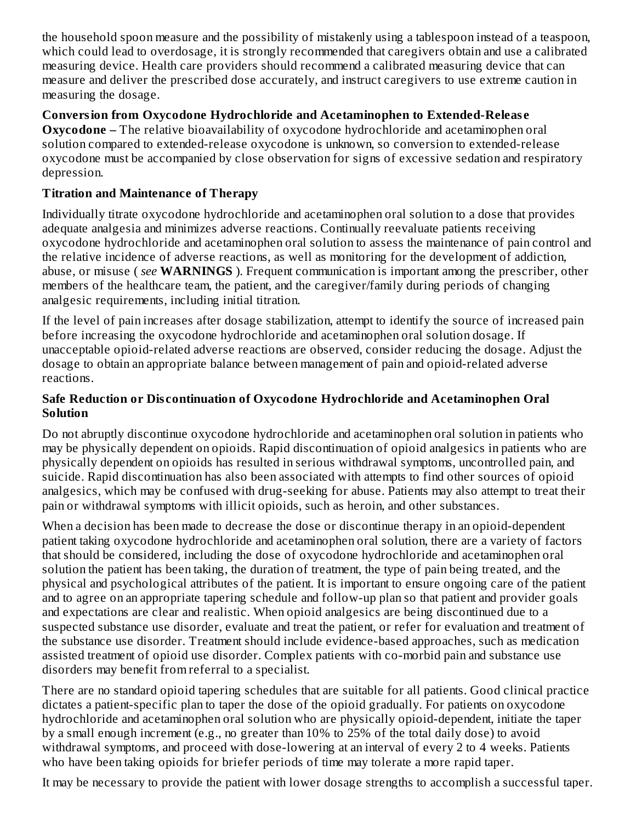the household spoon measure and the possibility of mistakenly using a tablespoon instead of a teaspoon, which could lead to overdosage, it is strongly recommended that caregivers obtain and use a calibrated measuring device. Health care providers should recommend a calibrated measuring device that can measure and deliver the prescribed dose accurately, and instruct caregivers to use extreme caution in measuring the dosage.

### **Conversion from Oxycodone Hydrochloride and Acetaminophen to Extended-Releas e**

**Oxycodone** – The relative bioavailability of oxycodone hydrochloride and acetaminophen oral solution compared to extended-release oxycodone is unknown, so conversion to extended-release oxycodone must be accompanied by close observation for signs of excessive sedation and respiratory depression.

### **Titration and Maintenance of Therapy**

Individually titrate oxycodone hydrochloride and acetaminophen oral solution to a dose that provides adequate analgesia and minimizes adverse reactions. Continually reevaluate patients receiving oxycodone hydrochloride and acetaminophen oral solution to assess the maintenance of pain control and the relative incidence of adverse reactions, as well as monitoring for the development of addiction, abuse, or misuse ( *see* **WARNINGS** ). Frequent communication is important among the prescriber, other members of the healthcare team, the patient, and the caregiver/family during periods of changing analgesic requirements, including initial titration.

If the level of pain increases after dosage stabilization, attempt to identify the source of increased pain before increasing the oxycodone hydrochloride and acetaminophen oral solution dosage. If unacceptable opioid-related adverse reactions are observed, consider reducing the dosage. Adjust the dosage to obtain an appropriate balance between management of pain and opioid-related adverse reactions.

#### **Safe Reduction or Dis continuation of Oxycodone Hydrochloride and Acetaminophen Oral Solution**

Do not abruptly discontinue oxycodone hydrochloride and acetaminophen oral solution in patients who may be physically dependent on opioids. Rapid discontinuation of opioid analgesics in patients who are physically dependent on opioids has resulted in serious withdrawal symptoms, uncontrolled pain, and suicide. Rapid discontinuation has also been associated with attempts to find other sources of opioid analgesics, which may be confused with drug-seeking for abuse. Patients may also attempt to treat their pain or withdrawal symptoms with illicit opioids, such as heroin, and other substances.

When a decision has been made to decrease the dose or discontinue therapy in an opioid-dependent patient taking oxycodone hydrochloride and acetaminophen oral solution, there are a variety of factors that should be considered, including the dose of oxycodone hydrochloride and acetaminophen oral solution the patient has been taking, the duration of treatment, the type of pain being treated, and the physical and psychological attributes of the patient. It is important to ensure ongoing care of the patient and to agree on an appropriate tapering schedule and follow-up plan so that patient and provider goals and expectations are clear and realistic. When opioid analgesics are being discontinued due to a suspected substance use disorder, evaluate and treat the patient, or refer for evaluation and treatment of the substance use disorder. Treatment should include evidence-based approaches, such as medication assisted treatment of opioid use disorder. Complex patients with co-morbid pain and substance use disorders may benefit from referral to a specialist.

There are no standard opioid tapering schedules that are suitable for all patients. Good clinical practice dictates a patient-specific plan to taper the dose of the opioid gradually. For patients on oxycodone hydrochloride and acetaminophen oral solution who are physically opioid-dependent, initiate the taper by a small enough increment (e.g., no greater than 10% to 25% of the total daily dose) to avoid withdrawal symptoms, and proceed with dose-lowering at an interval of every 2 to 4 weeks. Patients who have been taking opioids for briefer periods of time may tolerate a more rapid taper.

It may be necessary to provide the patient with lower dosage strengths to accomplish a successful taper.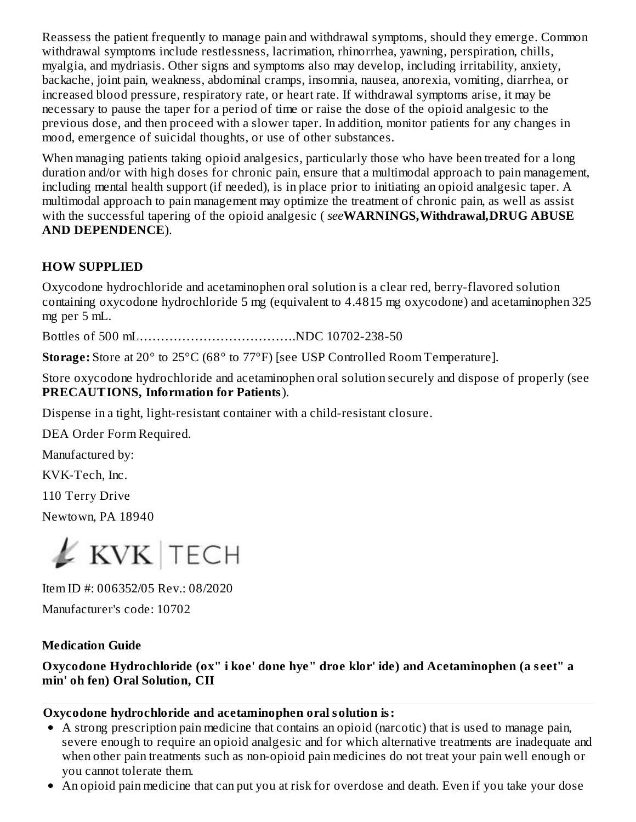Reassess the patient frequently to manage pain and withdrawal symptoms, should they emerge. Common withdrawal symptoms include restlessness, lacrimation, rhinorrhea, yawning, perspiration, chills, myalgia, and mydriasis. Other signs and symptoms also may develop, including irritability, anxiety, backache, joint pain, weakness, abdominal cramps, insomnia, nausea, anorexia, vomiting, diarrhea, or increased blood pressure, respiratory rate, or heart rate. If withdrawal symptoms arise, it may be necessary to pause the taper for a period of time or raise the dose of the opioid analgesic to the previous dose, and then proceed with a slower taper. In addition, monitor patients for any changes in mood, emergence of suicidal thoughts, or use of other substances.

When managing patients taking opioid analgesics, particularly those who have been treated for a long duration and/or with high doses for chronic pain, ensure that a multimodal approach to pain management, including mental health support (if needed), is in place prior to initiating an opioid analgesic taper. A multimodal approach to pain management may optimize the treatment of chronic pain, as well as assist with the successful tapering of the opioid analgesic ( *see***WARNINGS,Withdrawal,DRUG ABUSE AND DEPENDENCE**).

#### **HOW SUPPLIED**

Oxycodone hydrochloride and acetaminophen oral solution is a clear red, berry-flavored solution containing oxycodone hydrochloride 5 mg (equivalent to 4.4815 mg oxycodone) and acetaminophen 325 mg per 5 mL.

Bottles of 500 mL……………………………….NDC 10702-238-50

**Storage:** Store at 20° to 25°C (68° to 77°F) [see USP Controlled Room Temperature].

Store oxycodone hydrochloride and acetaminophen oral solution securely and dispose of properly (see **PRECAUTIONS, Information for Patients**).

Dispense in a tight, light-resistant container with a child-resistant closure.

DEA Order Form Required.

Manufactured by:

KVK-Tech, Inc.

110 Terry Drive

Newtown, PA 18940

 $K$  KVK TECH

Item ID #: 006352/05 Rev.: 08/2020 Manufacturer's code: 10702

#### **Medication Guide**

#### **Oxycodone Hydrochloride (ox" i koe' done hye" droe klor' ide) and Acetaminophen (a s eet" a min' oh fen) Oral Solution, CII**

#### **Oxycodone hydrochloride and acetaminophen oral solution is:**

- A strong prescription pain medicine that contains an opioid (narcotic) that is used to manage pain, severe enough to require an opioid analgesic and for which alternative treatments are inadequate and when other pain treatments such as non-opioid pain medicines do not treat your pain well enough or you cannot tolerate them.
- An opioid pain medicine that can put you at risk for overdose and death. Even if you take your dose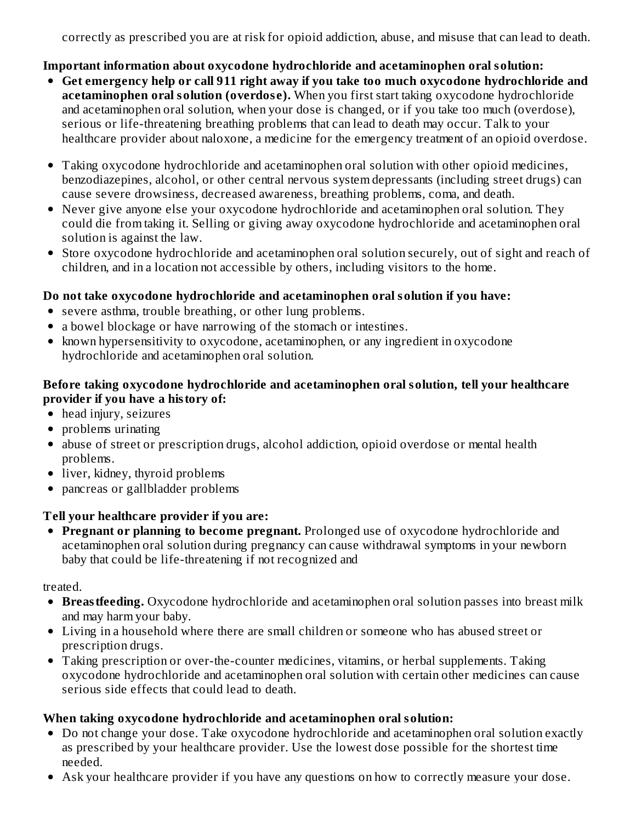correctly as prescribed you are at risk for opioid addiction, abuse, and misuse that can lead to death.

### **Important information about oxycodone hydrochloride and acetaminophen oral solution:**

- **Get emergency help or call 911 right away if you take too much oxycodone hydrochloride and acetaminophen oral solution (overdos e).** When you first start taking oxycodone hydrochloride and acetaminophen oral solution, when your dose is changed, or if you take too much (overdose), serious or life-threatening breathing problems that can lead to death may occur. Talk to your healthcare provider about naloxone, a medicine for the emergency treatment of an opioid overdose.
- Taking oxycodone hydrochloride and acetaminophen oral solution with other opioid medicines, benzodiazepines, alcohol, or other central nervous system depressants (including street drugs) can cause severe drowsiness, decreased awareness, breathing problems, coma, and death.
- Never give anyone else your oxycodone hydrochloride and acetaminophen oral solution. They could die from taking it. Selling or giving away oxycodone hydrochloride and acetaminophen oral solution is against the law.
- Store oxycodone hydrochloride and acetaminophen oral solution securely, out of sight and reach of children, and in a location not accessible by others, including visitors to the home.

#### **Do not take oxycodone hydrochloride and acetaminophen oral solution if you have:**

- severe asthma, trouble breathing, or other lung problems.
- a bowel blockage or have narrowing of the stomach or intestines.
- known hypersensitivity to oxycodone, acetaminophen, or any ingredient in oxycodone hydrochloride and acetaminophen oral solution.

#### **Before taking oxycodone hydrochloride and acetaminophen oral solution, tell your healthcare provider if you have a history of:**

- head injury, seizures
- problems urinating
- abuse of street or prescription drugs, alcohol addiction, opioid overdose or mental health problems.
- liver, kidney, thyroid problems
- pancreas or gallbladder problems

### **Tell your healthcare provider if you are:**

**Pregnant or planning to become pregnant.** Prolonged use of oxycodone hydrochloride and acetaminophen oral solution during pregnancy can cause withdrawal symptoms in your newborn baby that could be life-threatening if not recognized and

treated.

- **Breastfeeding.** Oxycodone hydrochloride and acetaminophen oral solution passes into breast milk and may harm your baby.
- Living in a household where there are small children or someone who has abused street or prescription drugs.
- Taking prescription or over-the-counter medicines, vitamins, or herbal supplements. Taking oxycodone hydrochloride and acetaminophen oral solution with certain other medicines can cause serious side effects that could lead to death.

### **When taking oxycodone hydrochloride and acetaminophen oral solution:**

- Do not change your dose. Take oxycodone hydrochloride and acetaminophen oral solution exactly as prescribed by your healthcare provider. Use the lowest dose possible for the shortest time needed.
- Ask your healthcare provider if you have any questions on how to correctly measure your dose.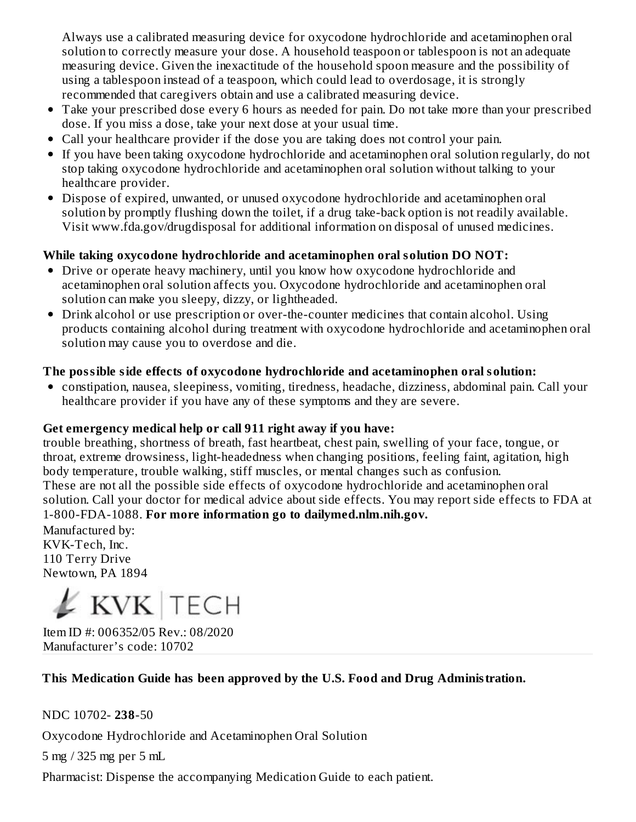Always use a calibrated measuring device for oxycodone hydrochloride and acetaminophen oral solution to correctly measure your dose. A household teaspoon or tablespoon is not an adequate measuring device. Given the inexactitude of the household spoon measure and the possibility of using a tablespoon instead of a teaspoon, which could lead to overdosage, it is strongly recommended that caregivers obtain and use a calibrated measuring device.

- Take your prescribed dose every 6 hours as needed for pain. Do not take more than your prescribed dose. If you miss a dose, take your next dose at your usual time.
- Call your healthcare provider if the dose you are taking does not control your pain.
- If you have been taking oxycodone hydrochloride and acetaminophen oral solution regularly, do not stop taking oxycodone hydrochloride and acetaminophen oral solution without talking to your healthcare provider.
- Dispose of expired, unwanted, or unused oxycodone hydrochloride and acetaminophen oral solution by promptly flushing down the toilet, if a drug take-back option is not readily available. Visit www.fda.gov/drugdisposal for additional information on disposal of unused medicines.

#### **While taking oxycodone hydrochloride and acetaminophen oral solution DO NOT:**

- Drive or operate heavy machinery, until you know how oxycodone hydrochloride and acetaminophen oral solution affects you. Oxycodone hydrochloride and acetaminophen oral solution can make you sleepy, dizzy, or lightheaded.
- Drink alcohol or use prescription or over-the-counter medicines that contain alcohol. Using products containing alcohol during treatment with oxycodone hydrochloride and acetaminophen oral solution may cause you to overdose and die.

#### **The possible side effects of oxycodone hydrochloride and acetaminophen oral solution:**

constipation, nausea, sleepiness, vomiting, tiredness, headache, dizziness, abdominal pain. Call your healthcare provider if you have any of these symptoms and they are severe.

#### **Get emergency medical help or call 911 right away if you have:**

trouble breathing, shortness of breath, fast heartbeat, chest pain, swelling of your face, tongue, or throat, extreme drowsiness, light-headedness when changing positions, feeling faint, agitation, high body temperature, trouble walking, stiff muscles, or mental changes such as confusion. These are not all the possible side effects of oxycodone hydrochloride and acetaminophen oral solution. Call your doctor for medical advice about side effects. You may report side effects to FDA at 1-800-FDA-1088. **For more information go to dailymed.nlm.nih.gov.**

Manufactured by: KVK-Tech, Inc. 110 Terry Drive Newtown, PA 1894

 $k$  kvk Tech

Item ID #: 006352/05 Rev.: 08/2020 Manufacturer's code: 10702

### **This Medication Guide has been approved by the U.S. Food and Drug Administration.**

NDC 10702- **238**-50

Oxycodone Hydrochloride and Acetaminophen Oral Solution

5 mg / 325 mg per 5 mL

Pharmacist: Dispense the accompanying Medication Guide to each patient.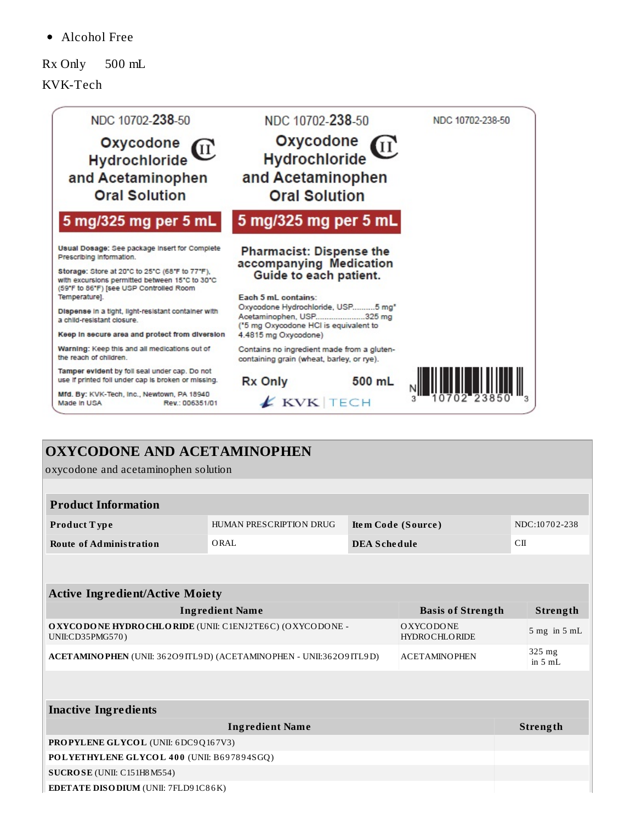Alcohol Free

Rx Only 500 mL

#### KVK-Tech



## **OXYCODONE AND ACETAMINOPHEN**

oxycodone and acetaminophen solution

| <b>Product Information</b>                                                                                                     |                         |                     |  |                 |                               |  |  |  |
|--------------------------------------------------------------------------------------------------------------------------------|-------------------------|---------------------|--|-----------------|-------------------------------|--|--|--|
| Product Type                                                                                                                   | HUMAN PRESCRIPTION DRUG | Item Code (Source)  |  | NDC:10702-238   |                               |  |  |  |
| <b>Route of Administration</b>                                                                                                 | ORAL                    | <b>DEA Schedule</b> |  | C <sub>II</sub> |                               |  |  |  |
|                                                                                                                                |                         |                     |  |                 |                               |  |  |  |
|                                                                                                                                |                         |                     |  |                 |                               |  |  |  |
| <b>Active Ingredient/Active Moiety</b>                                                                                         |                         |                     |  |                 |                               |  |  |  |
| <b>Ingredient Name</b><br><b>Basis of Strength</b>                                                                             |                         |                     |  |                 | Strength                      |  |  |  |
| <b>OXYCODONE HYDROCHLORIDE</b> (UNII: C1ENJ2TE6C) (OXYCODONE -<br><b>OXYCODONE</b><br>UNII:CD35PMG570)<br><b>HYDROCHLORIDE</b> |                         |                     |  |                 | $5$ mg in $5$ mL              |  |  |  |
| ACETAMINO PHEN (UNII: 36209 ITL9D) (ACETAMINO PHEN - UNII:36209 ITL9D)<br><b>ACETAMINOPHEN</b>                                 |                         |                     |  |                 | $325$ mg<br>in $5 \text{ mL}$ |  |  |  |
|                                                                                                                                |                         |                     |  |                 |                               |  |  |  |
| <b>Inactive Ingredients</b>                                                                                                    |                         |                     |  |                 |                               |  |  |  |
|                                                                                                                                |                         | Strength            |  |                 |                               |  |  |  |
| <b>Ingredient Name</b>                                                                                                         |                         |                     |  |                 |                               |  |  |  |
| <b>PROPYLENE GLYCOL (UNII: 6DC9Q167V3)</b>                                                                                     |                         |                     |  |                 |                               |  |  |  |
| POLYETHYLENE GLYCOL 400 (UNII: B697894SGQ)                                                                                     |                         |                     |  |                 |                               |  |  |  |
| SUCROSE (UNII: C151H8M554)                                                                                                     |                         |                     |  |                 |                               |  |  |  |
| <b>EDETATE DISODIUM (UNII: 7FLD91C86K)</b>                                                                                     |                         |                     |  |                 |                               |  |  |  |